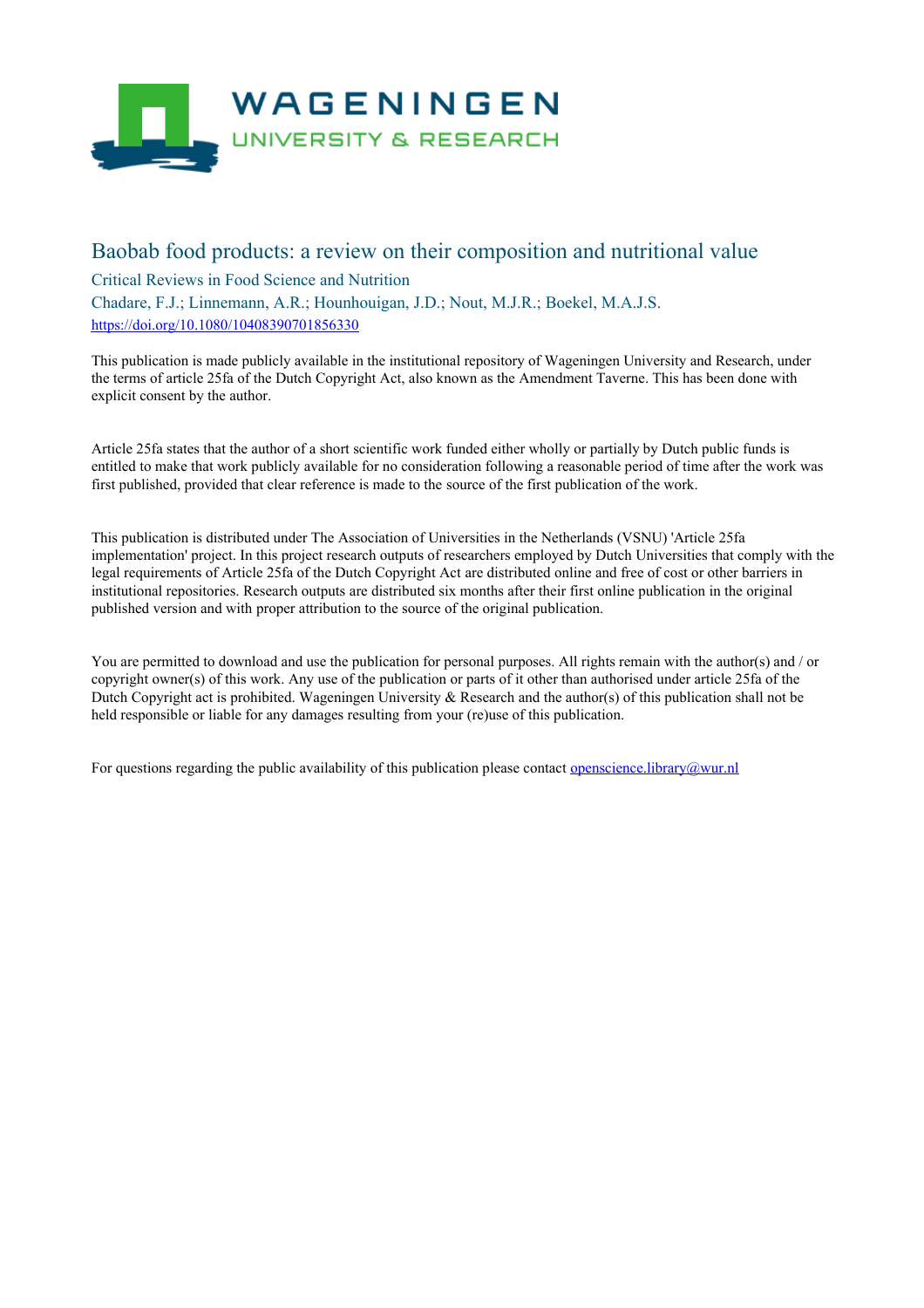

# Baobab food products: a review on their composition and nutritional value

Critical Reviews in Food Science and Nutrition Chadare, F.J.; Linnemann, A.R.; Hounhouigan, J.D.; Nout, M.J.R.; Boekel, M.A.J.S. <https://doi.org/10.1080/10408390701856330>

This publication is made publicly available in the institutional repository of Wageningen University and Research, under the terms of article 25fa of the Dutch Copyright Act, also known as the Amendment Taverne. This has been done with explicit consent by the author.

Article 25fa states that the author of a short scientific work funded either wholly or partially by Dutch public funds is entitled to make that work publicly available for no consideration following a reasonable period of time after the work was first published, provided that clear reference is made to the source of the first publication of the work.

This publication is distributed under The Association of Universities in the Netherlands (VSNU) 'Article 25fa implementation' project. In this project research outputs of researchers employed by Dutch Universities that comply with the legal requirements of Article 25fa of the Dutch Copyright Act are distributed online and free of cost or other barriers in institutional repositories. Research outputs are distributed six months after their first online publication in the original published version and with proper attribution to the source of the original publication.

You are permitted to download and use the publication for personal purposes. All rights remain with the author(s) and / or copyright owner(s) of this work. Any use of the publication or parts of it other than authorised under article 25fa of the Dutch Copyright act is prohibited. Wageningen University & Research and the author(s) of this publication shall not be held responsible or liable for any damages resulting from your (re)use of this publication.

For questions regarding the public availability of this publication please contact <u>[openscience.library@wur.nl](mailto:openscience.library@wur.nl)</u>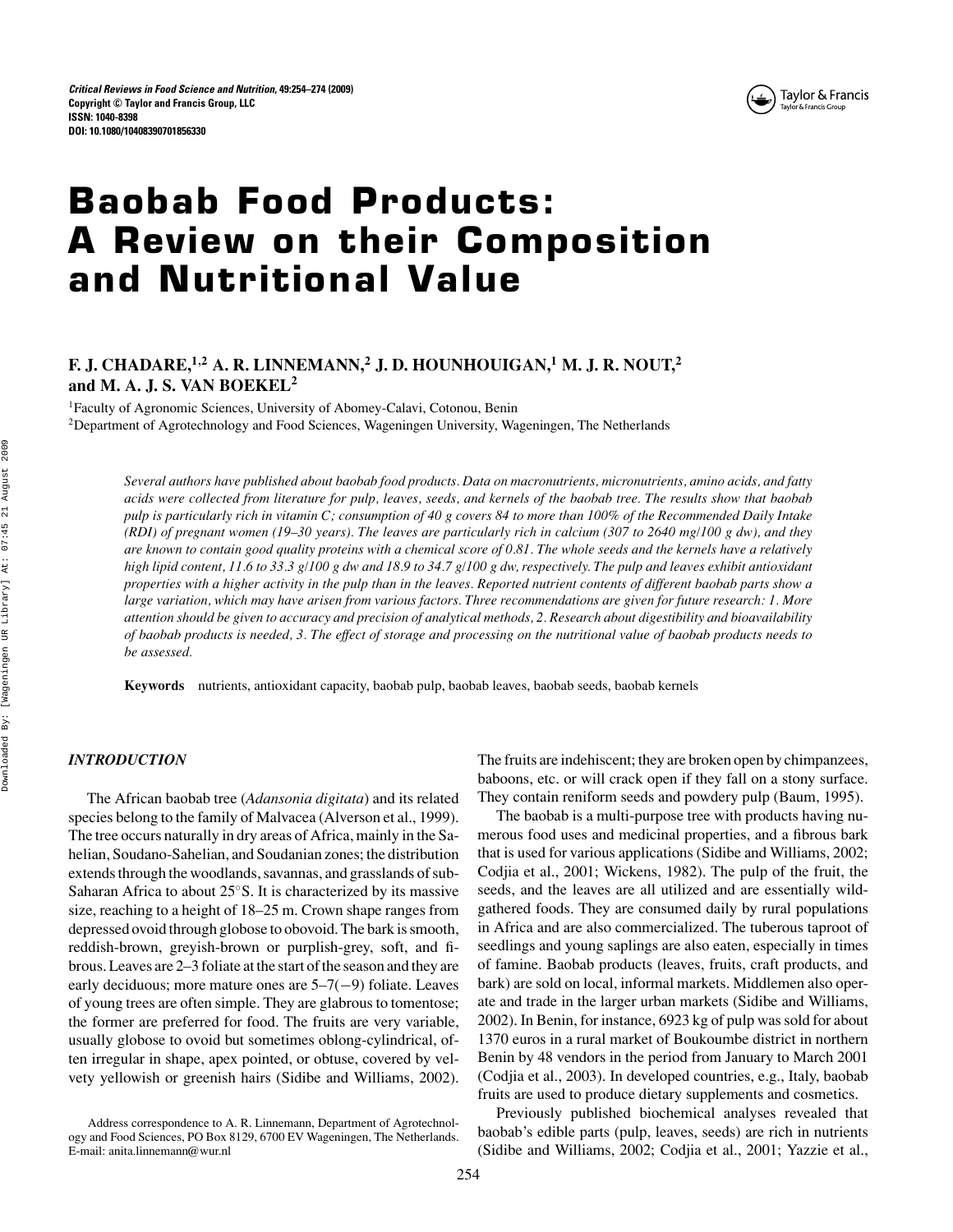

# **Baobab Food Products: A Review on their Composition and Nutritional Value**

## **F. J. CHADARE,<sup>1</sup>***,***<sup>2</sup> A. R. LINNEMANN,<sup>2</sup> J. D. HOUNHOUIGAN,<sup>1</sup> M. J. R. NOUT,<sup>2</sup> and M. A. J. S. VAN BOEKEL<sup>2</sup>**

<sup>1</sup>Faculty of Agronomic Sciences, University of Abomey-Calavi, Cotonou, Benin

2Department of Agrotechnology and Food Sciences, Wageningen University, Wageningen, The Netherlands

*Several authors have published about baobab food products. Data on macronutrients, micronutrients, amino acids, and fatty acids were collected from literature for pulp, leaves, seeds, and kernels of the baobab tree. The results show that baobab pulp is particularly rich in vitamin C; consumption of 40 g covers 84 to more than 100% of the Recommended Daily Intake (RDI) of pregnant women (19–30 years). The leaves are particularly rich in calcium (307 to 2640 mg/100 g dw), and they are known to contain good quality proteins with a chemical score of 0.81. The whole seeds and the kernels have a relatively high lipid content, 11.6 to 33.3 g/100 g dw and 18.9 to 34.7 g/100 g dw, respectively. The pulp and leaves exhibit antioxidant properties with a higher activity in the pulp than in the leaves. Reported nutrient contents of different baobab parts show a large variation, which may have arisen from various factors. Three recommendations are given for future research: 1. More attention should be given to accuracy and precision of analytical methods, 2. Research about digestibility and bioavailability of baobab products is needed, 3. The effect of storage and processing on the nutritional value of baobab products needs to be assessed.*

**Keywords** nutrients, antioxidant capacity, baobab pulp, baobab leaves, baobab seeds, baobab kernels

## *INTRODUCTION*

The African baobab tree (*Adansonia digitata*) and its related species belong to the family of Malvacea (Alverson et al., 1999). The tree occurs naturally in dry areas of Africa, mainly in the Sahelian, Soudano-Sahelian, and Soudanian zones; the distribution extends through the woodlands, savannas, and grasslands of sub-Saharan Africa to about 25◦S. It is characterized by its massive size, reaching to a height of 18–25 m. Crown shape ranges from depressed ovoid through globose to obovoid. The bark is smooth, reddish-brown, greyish-brown or purplish-grey, soft, and fibrous. Leaves are 2–3 foliate at the start of the season and they are early deciduous; more mature ones are 5–7(−9) foliate. Leaves of young trees are often simple. They are glabrous to tomentose; the former are preferred for food. The fruits are very variable, usually globose to ovoid but sometimes oblong-cylindrical, often irregular in shape, apex pointed, or obtuse, covered by velvety yellowish or greenish hairs (Sidibe and Williams, 2002). The fruits are indehiscent; they are broken open by chimpanzees, baboons, etc. or will crack open if they fall on a stony surface. They contain reniform seeds and powdery pulp (Baum, 1995).

The baobab is a multi-purpose tree with products having numerous food uses and medicinal properties, and a fibrous bark that is used for various applications (Sidibe and Williams, 2002; Codjia et al., 2001; Wickens, 1982). The pulp of the fruit, the seeds, and the leaves are all utilized and are essentially wildgathered foods. They are consumed daily by rural populations in Africa and are also commercialized. The tuberous taproot of seedlings and young saplings are also eaten, especially in times of famine. Baobab products (leaves, fruits, craft products, and bark) are sold on local, informal markets. Middlemen also operate and trade in the larger urban markets (Sidibe and Williams, 2002). In Benin, for instance, 6923 kg of pulp was sold for about 1370 euros in a rural market of Boukoumbe district in northern Benin by 48 vendors in the period from January to March 2001 (Codjia et al., 2003). In developed countries, e.g., Italy, baobab fruits are used to produce dietary supplements and cosmetics.

Previously published biochemical analyses revealed that baobab's edible parts (pulp, leaves, seeds) are rich in nutrients (Sidibe and Williams, 2002; Codjia et al., 2001; Yazzie et al.,

Address correspondence to A. R. Linnemann, Department of Agrotechnology and Food Sciences, PO Box 8129, 6700 EV Wageningen, The Netherlands. E-mail: anita.linnemann@wur.nl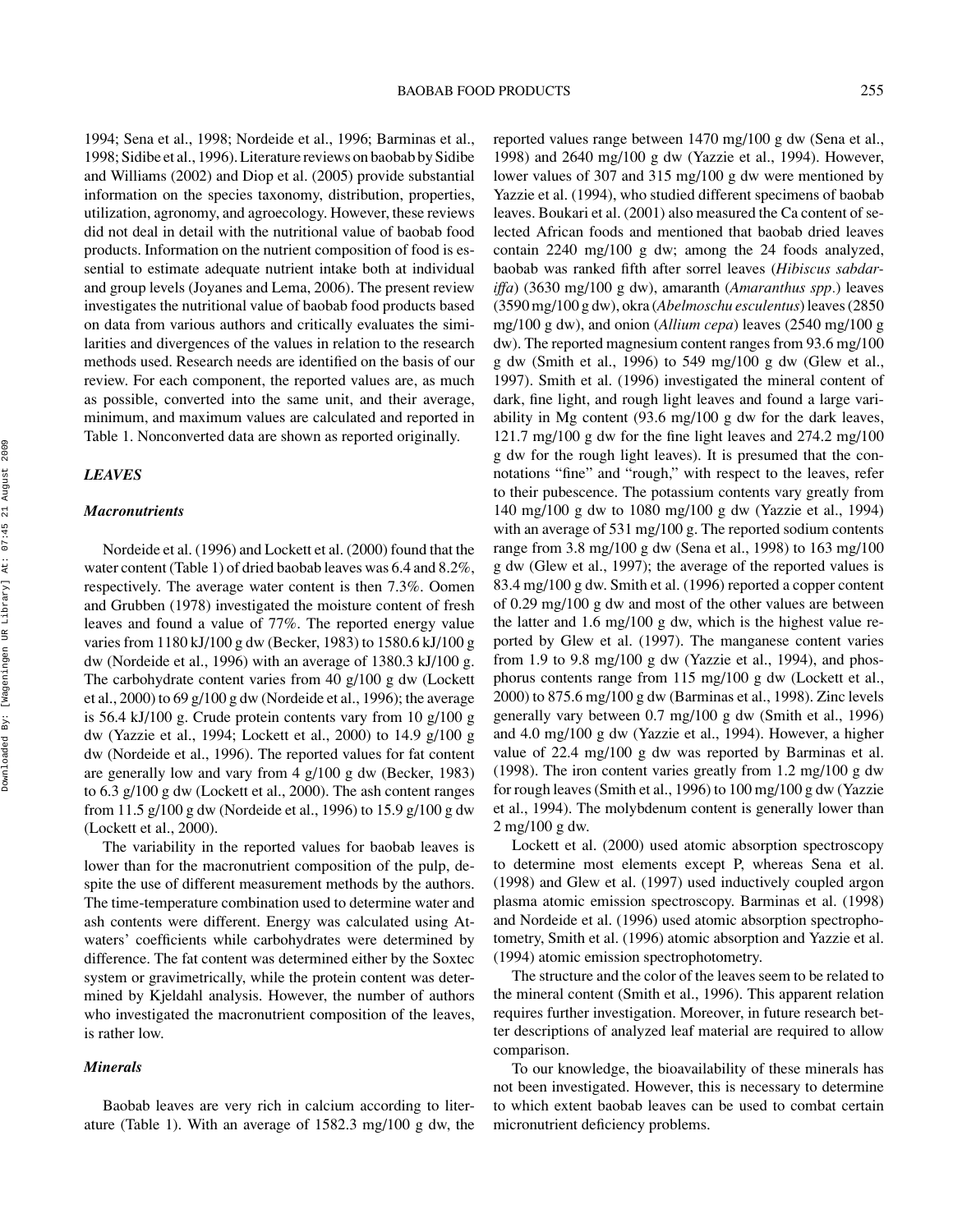1994; Sena et al., 1998; Nordeide et al., 1996; Barminas et al., 1998; Sidibe et al., 1996). Literature reviews on baobab by Sidibe and Williams (2002) and Diop et al. (2005) provide substantial information on the species taxonomy, distribution, properties, utilization, agronomy, and agroecology. However, these reviews did not deal in detail with the nutritional value of baobab food products. Information on the nutrient composition of food is essential to estimate adequate nutrient intake both at individual and group levels (Joyanes and Lema, 2006). The present review investigates the nutritional value of baobab food products based on data from various authors and critically evaluates the similarities and divergences of the values in relation to the research methods used. Research needs are identified on the basis of our review. For each component, the reported values are, as much as possible, converted into the same unit, and their average, minimum, and maximum values are calculated and reported in Table 1. Nonconverted data are shown as reported originally.

#### *LEAVES*

#### *Macronutrients*

Nordeide et al. (1996) and Lockett et al. (2000) found that the water content (Table 1) of dried baobab leaves was 6.4 and 8.2%, respectively. The average water content is then 7.3%. Oomen and Grubben (1978) investigated the moisture content of fresh leaves and found a value of 77%. The reported energy value varies from 1180 kJ/100 g dw (Becker, 1983) to 1580.6 kJ/100 g dw (Nordeide et al., 1996) with an average of 1380.3 kJ/100 g. The carbohydrate content varies from 40 g/100 g dw (Lockett et al., 2000) to 69 g/100 g dw (Nordeide et al., 1996); the average is 56.4 kJ/100 g. Crude protein contents vary from 10 g/100 g dw (Yazzie et al., 1994; Lockett et al., 2000) to 14.9 g/100 g dw (Nordeide et al., 1996). The reported values for fat content are generally low and vary from 4 g/100 g dw (Becker, 1983) to 6.3 g/100 g dw (Lockett et al., 2000). The ash content ranges from 11.5 g/100 g dw (Nordeide et al., 1996) to 15.9 g/100 g dw (Lockett et al., 2000).

The variability in the reported values for baobab leaves is lower than for the macronutrient composition of the pulp, despite the use of different measurement methods by the authors. The time-temperature combination used to determine water and ash contents were different. Energy was calculated using Atwaters' coefficients while carbohydrates were determined by difference. The fat content was determined either by the Soxtec system or gravimetrically, while the protein content was determined by Kjeldahl analysis. However, the number of authors who investigated the macronutrient composition of the leaves, is rather low.

## *Minerals*

Baobab leaves are very rich in calcium according to literature (Table 1). With an average of 1582.3 mg/100 g dw, the

reported values range between 1470 mg/100 g dw (Sena et al., 1998) and 2640 mg/100 g dw (Yazzie et al., 1994). However, lower values of 307 and 315 mg/100 g dw were mentioned by Yazzie et al. (1994), who studied different specimens of baobab leaves. Boukari et al. (2001) also measured the Ca content of selected African foods and mentioned that baobab dried leaves contain 2240 mg/100 g dw; among the 24 foods analyzed, baobab was ranked fifth after sorrel leaves (*Hibiscus sabdariffa*) (3630 mg/100 g dw), amaranth (*Amaranthus spp.*) leaves (3590 mg/100 g dw), okra (*Abelmoschu esculentus*)leaves (2850 mg/100 g dw), and onion (*Allium cepa*) leaves (2540 mg/100 g dw). The reported magnesium content ranges from 93.6 mg/100 g dw (Smith et al., 1996) to 549 mg/100 g dw (Glew et al., 1997). Smith et al. (1996) investigated the mineral content of dark, fine light, and rough light leaves and found a large variability in Mg content (93.6 mg/100 g dw for the dark leaves, 121.7 mg/100 g dw for the fine light leaves and 274.2 mg/100 g dw for the rough light leaves). It is presumed that the connotations "fine" and "rough," with respect to the leaves, refer to their pubescence. The potassium contents vary greatly from 140 mg/100 g dw to 1080 mg/100 g dw (Yazzie et al., 1994) with an average of 531 mg/100 g. The reported sodium contents range from 3.8 mg/100 g dw (Sena et al., 1998) to 163 mg/100 g dw (Glew et al., 1997); the average of the reported values is 83.4 mg/100 g dw. Smith et al. (1996) reported a copper content of 0.29 mg/100 g dw and most of the other values are between the latter and 1.6 mg/100 g dw, which is the highest value reported by Glew et al. (1997). The manganese content varies from 1.9 to 9.8 mg/100 g dw (Yazzie et al., 1994), and phosphorus contents range from 115 mg/100 g dw (Lockett et al., 2000) to 875.6 mg/100 g dw (Barminas et al., 1998). Zinc levels generally vary between 0.7 mg/100 g dw (Smith et al., 1996) and 4.0 mg/100 g dw (Yazzie et al., 1994). However, a higher value of 22.4 mg/100 g dw was reported by Barminas et al. (1998). The iron content varies greatly from 1.2 mg/100 g dw for rough leaves (Smith et al., 1996) to 100 mg/100 g dw (Yazzie et al., 1994). The molybdenum content is generally lower than 2 mg/100 g dw.

Lockett et al. (2000) used atomic absorption spectroscopy to determine most elements except P, whereas Sena et al. (1998) and Glew et al. (1997) used inductively coupled argon plasma atomic emission spectroscopy. Barminas et al. (1998) and Nordeide et al. (1996) used atomic absorption spectrophotometry, Smith et al. (1996) atomic absorption and Yazzie et al. (1994) atomic emission spectrophotometry.

The structure and the color of the leaves seem to be related to the mineral content (Smith et al., 1996). This apparent relation requires further investigation. Moreover, in future research better descriptions of analyzed leaf material are required to allow comparison.

To our knowledge, the bioavailability of these minerals has not been investigated. However, this is necessary to determine to which extent baobab leaves can be used to combat certain micronutrient deficiency problems.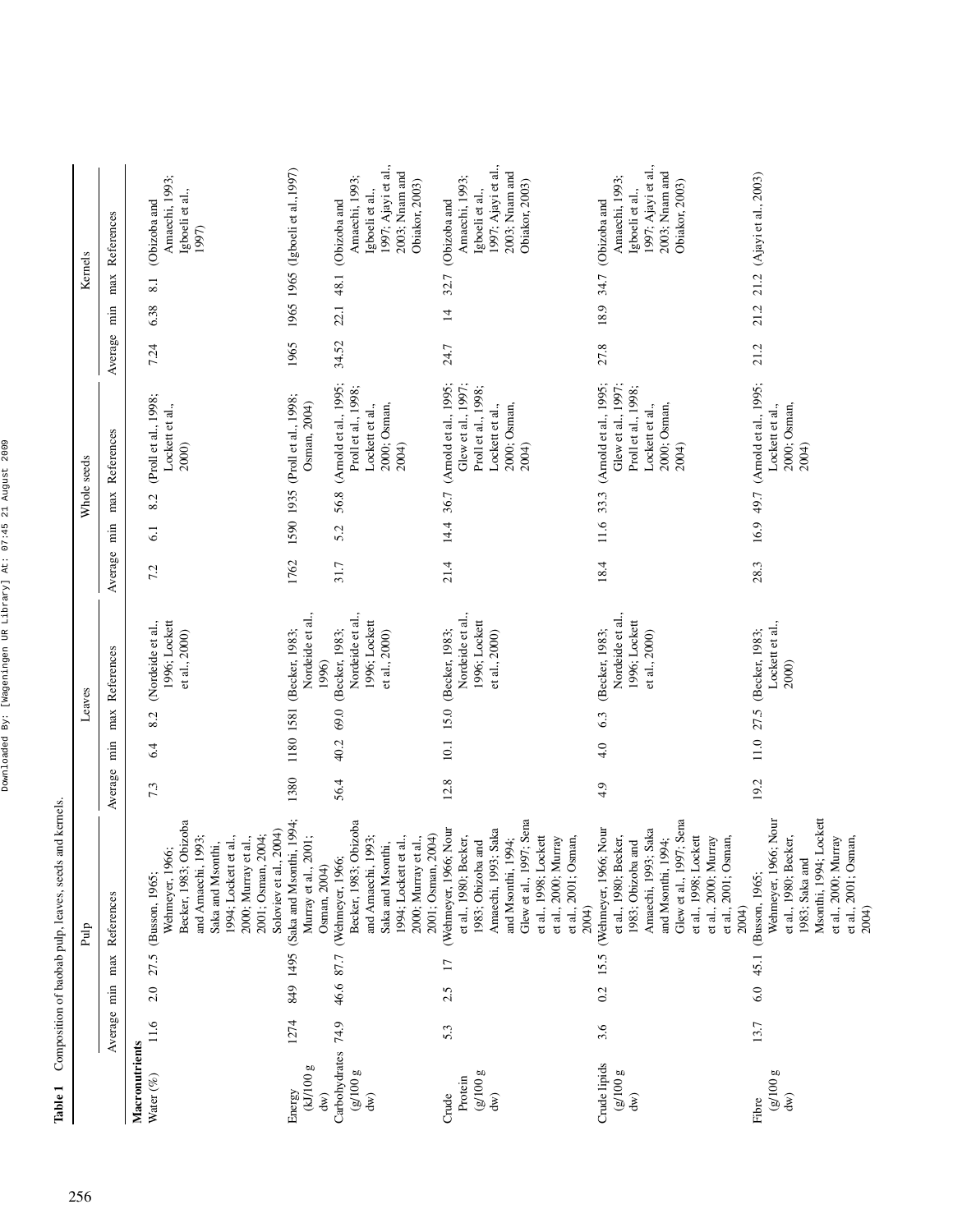|                                              |             |          |      | Pulp                                                                                                                                                                                                                          |         |                | Leaves |                                                                      |         |                 |      | Whole seeds                                                                                                    |         |                |      | Kernels               |                                                                                              |
|----------------------------------------------|-------------|----------|------|-------------------------------------------------------------------------------------------------------------------------------------------------------------------------------------------------------------------------------|---------|----------------|--------|----------------------------------------------------------------------|---------|-----------------|------|----------------------------------------------------------------------------------------------------------------|---------|----------------|------|-----------------------|----------------------------------------------------------------------------------------------|
|                                              | Average min |          | max  | References                                                                                                                                                                                                                    | Average | min            |        | max References                                                       | Average | min             | max  | References                                                                                                     | Average | min            |      | max References        |                                                                                              |
| Macronutrients<br>Water $(\%)$               | 11.6        | 2.0      | 27.5 | Becker, 1983; Obizoba<br>Soloviev et al., 2004)<br>and Amaechi, 1993;<br>2001; Osman, 2004;<br>1994; Lockett et al.,<br>2000; Murray et al.,<br>Saka and Msonthi,<br>Wehmeyer, 1966;<br>(Busson, 1965;                        | 7.3     | 6.4            | 8.2    | 1996; Lockett<br>(Nordeide et al.,<br>et al., 2000)                  | 7.2     | $\overline{61}$ | 8.2  | (Proll et al., 1998;<br>Lockett et al.,<br>2000)                                                               | 7.24    | 6.38           | 8.1  | (Obizoba and<br>1997) | Amaechi, 1993;<br>Igboeli et al.,                                                            |
| (kJ/100 g<br>Energy<br>d(w)                  | 1274        | 849 1495 |      | (Saka and Msonthi, 1994;<br>Murray et al., 2001;<br>Osman, 2004)                                                                                                                                                              | 1380    |                |        | Nordeide et al.,<br>1180 1581 (Becker, 1983;<br>1996)                | 1762    |                 |      | 1590 1935 (Proll et al., 1998;<br>Osman, 2004)                                                                 | 1965    |                |      |                       | 1965 1965 (Igboeli et al., 1997)                                                             |
| Carbohydrates 74.9<br>$(8/100)$ g<br>dw      |             |          |      | Becker, 1983; Obizoba<br>2001; Osman, 2004)<br>and Amaechi, 1993;<br>1994; Lockett et al.,<br>2000; Murray et al.,<br>Saka and Msonthi,<br>46.6 87.7 (Wehmeyer, 1966;                                                         | 56.4    | 40.2           | 69.0   | Nordeide et al.,<br>1996; Lockett<br>(Becker, 1983;<br>et al., 2000) | 31.7    | 5.2             | 56.8 | (Arnold et al., 1995;<br>Proll et al., 1998;<br>2000; Osman,<br>Lockett et al.,<br>2004)                       | 34.52   | 22.1           | 48.1 | Obizoba and           | 1997; Ajayi et al.,<br>2003; Nnam and<br>Amaechi, 1993;<br>Obiakor, 2003)<br>Igboeli et al., |
| (8/100)<br>Protein<br>d(w)<br>Crude          | 5.3         | 2.5      | 17   | Glew et al., 1997; Sena<br>(Wehmeyer, 1966; Nour<br>Amaechi, 1993; Saka<br>et al., 1980; Becker,<br>et al., 1998; Lockett<br>et al., 2001; Osman,<br>et al., 2000; Murray<br>and Msonthi, 1994;<br>1983; Obizoba and<br>2004) | 12.8    | 10.1           | 15.0   | Nordeide et al.,<br>1996; Lockett<br>(Becker, 1983;<br>et al., 2000) | 21.4    | 14.4            | 36.7 | (Arnold et al., 1995;<br>Glew et al., 1997;<br>Proll et al., 1998;<br>2000; Osman,<br>Lockett et al.,<br>2004) | 24.7    | $\overline{4}$ | 32.7 | (Obizoba and          | 1997; Ajayi et al.,<br>2003; Nnam and<br>Amaechi, 1993;<br>Obiakor, 2003)<br>Igboeli et al., |
| Crude lipids<br>$(8/100 \; \mathrm{g}$<br>dw | 3.6         | 0.2      | 15.5 | Glew et al., 1997; Sena<br>(Wehmeyer, 1966; Nour<br>Amaechi, 1993; Saka<br>et al., 1980; Becker,<br>et al., 1998; Lockett<br>et al., 2000; Murray<br>et al., 2001; Osman,<br>and Msonthi, 1994;<br>1983; Obizoba and<br>2004) | 4.9     | $\frac{4}{10}$ | 6.3    | Nordeide et al.,<br>1996; Lockett<br>(Becker, 1983;<br>et al., 2000) | 18.4    | 11.6            | 33.3 | (Arnold et al., 1995;<br>Glew et al., 1997;<br>Proll et al., 1998;<br>2000; Osman,<br>Lockett et al.,<br>2004) | 27.8    | 18.9           | 34.7 | Obizoba and           | 1997; Ajayi et al.,<br>2003; Nnam and<br>Amaechi, 1993;<br>Obiakor, 2003)<br>Igboeli et al., |
| (8/100)<br>dw<br>Fibre                       | 13.7        | 6.0 45.1 |      | Lockett<br>Wehmeyer, 1966; Nour<br>et al., 1980; Becker,<br>et al., 2001; Osman,<br>et al., 2000; Murray<br>1983; Saka and<br>Msonthi, 1994; 1<br>(Busson, 1965;<br>2004)                                                     | 19.2    | 11.0           | 27.5   | Lockett et al.,<br>(Becker, 1983;<br>2000)                           | 28.3    | 16.9            |      | 49.7 (Amold et al., 1995;<br>2000; Osman,<br>Lockett et al.,<br>2004)                                          | 21.2    | 21.2           |      |                       | 21.2 (Ajayi et al., 2003)                                                                    |

Table 1 Composition of baobab pulp, leaves, seeds and kernels. **Table 1** Composition of baobab pulp, leaves, seeds and kernels.

Downloaded By: [Wageningen UR Library] At: 07:45 21 August 2009 Downloaded By: [Wageningen UR Library] At: 07:45 21 August 2009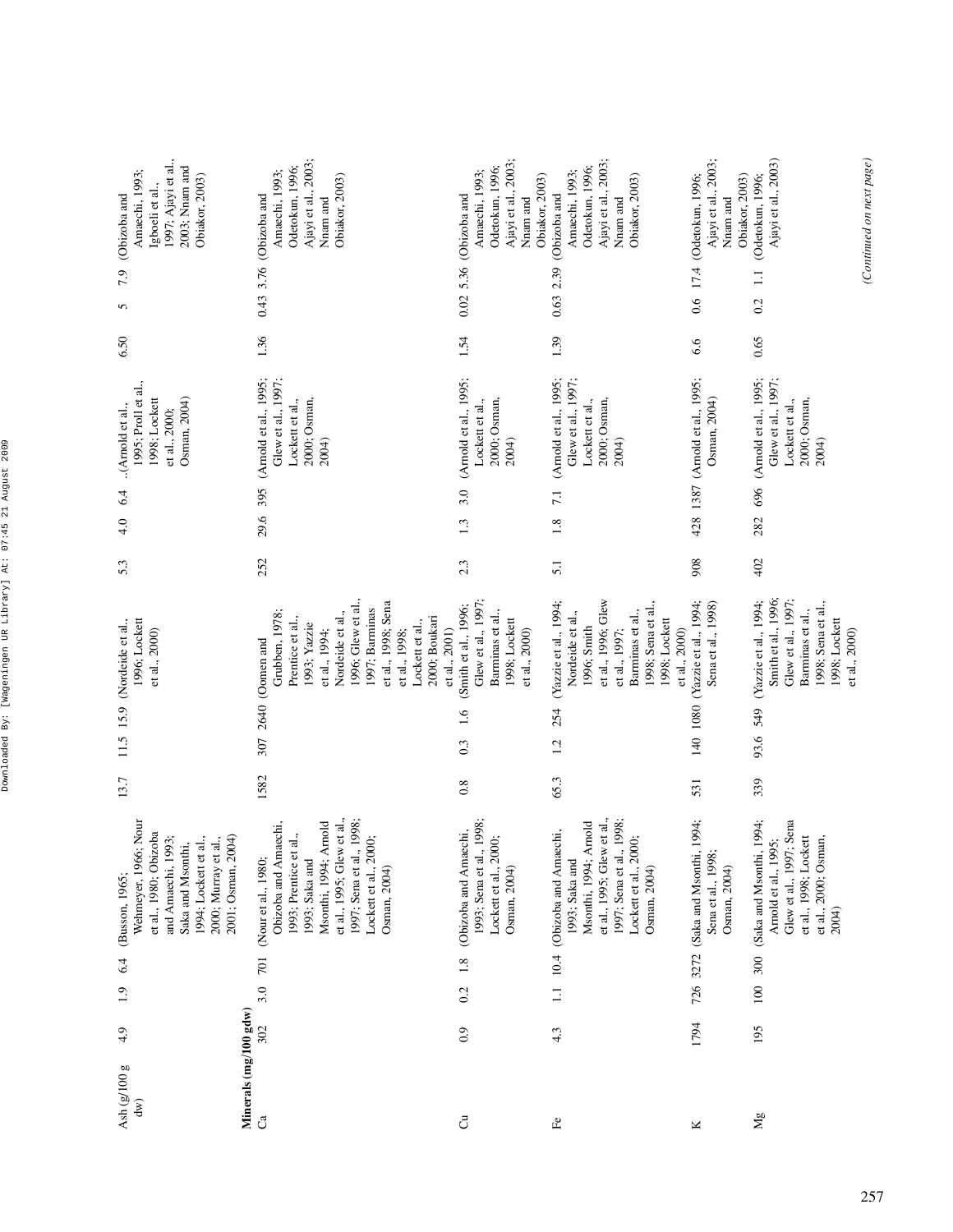| 1997; Ajayi et al.,<br>2003; Nnam and<br>Amaechi, 1993;<br>Obiakor, 2003)<br>Igboeli et al.,<br>7.9 (Obizoba and                                                                     | Amaechi, 1993;<br>$0.43$ 3.76 (Obizoba and  | Ajayi et al., 2003;<br>Odetokun, 1996;<br>Nnam and                   | Obiakor, 2003)                                            |                                       |                                  |                                     | Amaechi, 1993;<br>$0.02$ 5.36 (Obizoba and               | Odetokun, 1996;       | Ajayi et al., 2003;<br>Nnam and | Obiakor, 2003) | (Obizoba and<br>0.632.39            | Odetokun, 1996;<br>Amaechi, 1993;       | Ajayi et al., 2003;           | Obiakor, 2003)<br>Nnam and                           |                                                      | 17.4 (Odetokun, 1996;                | Ajayi et al., 2003;<br>Obiakor, 2003)<br>Nnam and | (Odetokun, 1996;<br>$\Xi$            | Ajayi et al., 2003)                                                                                       | (Continued on next page) |
|--------------------------------------------------------------------------------------------------------------------------------------------------------------------------------------|---------------------------------------------|----------------------------------------------------------------------|-----------------------------------------------------------|---------------------------------------|----------------------------------|-------------------------------------|----------------------------------------------------------|-----------------------|---------------------------------|----------------|-------------------------------------|-----------------------------------------|-------------------------------|------------------------------------------------------|------------------------------------------------------|--------------------------------------|---------------------------------------------------|--------------------------------------|-----------------------------------------------------------------------------------------------------------|--------------------------|
| 5                                                                                                                                                                                    |                                             |                                                                      |                                                           |                                       |                                  |                                     |                                                          |                       |                                 |                |                                     |                                         |                               |                                                      |                                                      | $\frac{6}{1}$                        |                                                   | 0.2                                  |                                                                                                           |                          |
| 6.50                                                                                                                                                                                 | 1.36                                        |                                                                      |                                                           |                                       |                                  |                                     | 1.54                                                     |                       |                                 |                | 1.39                                |                                         |                               |                                                      |                                                      | 6.6                                  |                                                   | 0.65                                 |                                                                                                           |                          |
| 1995; Proll et al.,<br>1998; Lockett<br>Osman, 2004)<br>(Arnold et al.,<br>et al., 2000;                                                                                             | (Arnold et al., 1995;<br>Glew et al., 1997; | 2000; Osman,<br>Lockett et al.,<br>2004)                             |                                                           |                                       |                                  |                                     | (Arnold et al., 1995;<br>Lockett et al.,                 | 2000; Osman,          | 2004)                           |                | (Arnold et al., 1995;               | Glew et al., 1997;<br>Lockett et al.,   | 2000; Osman,                  | 2004)                                                |                                                      | 1387 (Arnold et al., 1995;           | Osman, 2004)                                      | (Amold et al., 1995;                 | Glew et al., 1997;<br>2000; Osman,<br>Lockett et al.,<br>2004)                                            |                          |
| 6.4                                                                                                                                                                                  | 395<br>29.6                                 |                                                                      |                                                           |                                       |                                  |                                     | 3.0                                                      |                       |                                 |                | 7.1                                 |                                         |                               |                                                      |                                                      | 428                                  |                                                   | 696                                  |                                                                                                           |                          |
| 4.0                                                                                                                                                                                  |                                             |                                                                      |                                                           |                                       |                                  |                                     | 1.3                                                      |                       |                                 |                | 1.8                                 |                                         |                               |                                                      |                                                      |                                      |                                                   | 282                                  |                                                                                                           |                          |
| 5.3                                                                                                                                                                                  | 252                                         |                                                                      |                                                           |                                       |                                  |                                     | 2.3                                                      |                       |                                 |                | 5.1                                 |                                         |                               |                                                      |                                                      | 908                                  |                                                   | 402                                  |                                                                                                           |                          |
| 1996; Lockett<br>11.5 15.9 (Nordeide et al.,<br>et al., 2000)                                                                                                                        | Grubben, 1978;<br>307 2640 (Oomen and       | Prentice et al.,<br>1993; Yazzie<br>et al., 1994;                    | 1996; Glew et al.,<br>Nordeide et al.,                    | et al., 1998; Sena<br>1997; Barminas  | Lockett et al.,<br>et al., 1998; | 2000; Boukari<br>$et$ al., $2001$ ) | Glew et al., 1997;<br>(Smith et al., 1996;<br>1.6<br>0.3 | Barminas et al.,      | 1998; Lockett<br>et al., 2000)  |                | (Yazzie et al., 1994;<br>254<br>1.2 | Nordeide et al.,<br>1996; Smith         | et al., 1996; Glew            | Barminas et al.,<br>et al., 1997;                    | 1998; Sena et al.,<br>1998; Lockett<br>et al., 2000) | 140 1080 (Yazzie et al., 1994;       | Sena et al., 1998)                                | (Yazzie et al., 1994;<br>549<br>93.6 | Smith et al., 1996;<br>Glew et al., 1997;<br>1998; Sena et al.,<br>Barminas et al.,<br>1998; Lockett      | et al., 2000)            |
| 13.7                                                                                                                                                                                 | 1582                                        |                                                                      |                                                           |                                       |                                  |                                     | 0.8                                                      |                       |                                 |                | 65.3                                |                                         |                               |                                                      |                                                      | 531                                  |                                                   | 339                                  |                                                                                                           |                          |
| Nour<br>et al., 1980; Obizoba<br>and Amaechi, 1993;<br>2001; Osman, 2004)<br>Saka and Msonthi,<br>1994; Lockett et al.,<br>2000; Murray et al.,<br>Wehmeyer, 1966;<br>(Busson, 1965; | Obizoba and Amaechi,<br>(Nour et al., 1980; | Msonthi, 1994; Arnold<br>al.,<br>1993; Prentice et<br>1993; Saka and | et al.,<br>1997; Sena et al., 1998;<br>et al., 1995; Glew | Lockett et al., 2000;<br>Osman, 2004) |                                  |                                     | 1993; Sena et al., 1998;<br>Obizoba and Amaechi,         | Lockett et al., 2000; | Osman, 2004)                    |                | 10.4 (Obizoba and Amaechi,          | Msonthi, 1994; Arnold<br>1993; Saka and | et al.,<br>et al., 1995; Glew | 1998;<br>Lockett et al., 2000;<br>1997; Sena et al., | Osman, 2004)                                         | 1994;<br>726 3272 (Saka and Msonthi, | Sena et al., 1998;<br>Osman, 2004)                | 1994;<br>100 300 (Saka and Msonthi,  | Arnold et al., 1995;<br>Glew et al., 1997; Sena<br>et al., 1998; Lockett<br>et al., 2000; Osman,<br>2004) |                          |
| 6.4                                                                                                                                                                                  | 701                                         |                                                                      |                                                           |                                       |                                  |                                     | 1.8                                                      |                       |                                 |                |                                     |                                         |                               |                                                      |                                                      |                                      |                                                   |                                      |                                                                                                           |                          |
| 1.9                                                                                                                                                                                  | $3.0\,$                                     |                                                                      |                                                           |                                       |                                  |                                     | 0.2                                                      |                       |                                 |                | $\equiv$                            |                                         |                               |                                                      |                                                      |                                      |                                                   |                                      |                                                                                                           |                          |
| 4.9                                                                                                                                                                                  | 302                                         |                                                                      |                                                           |                                       |                                  |                                     | 0.9                                                      |                       |                                 |                | 4.3                                 |                                         |                               |                                                      |                                                      | 1794                                 |                                                   | 195                                  |                                                                                                           |                          |
| Ash $(g/100 g)$<br>$d$ w)                                                                                                                                                            | Minerals (mg/100 gdw)<br>්                  |                                                                      |                                                           |                                       |                                  |                                     | $\vec{c}$                                                |                       |                                 |                | £                                   |                                         |                               |                                                      |                                                      | K                                    |                                                   | Mg                                   |                                                                                                           |                          |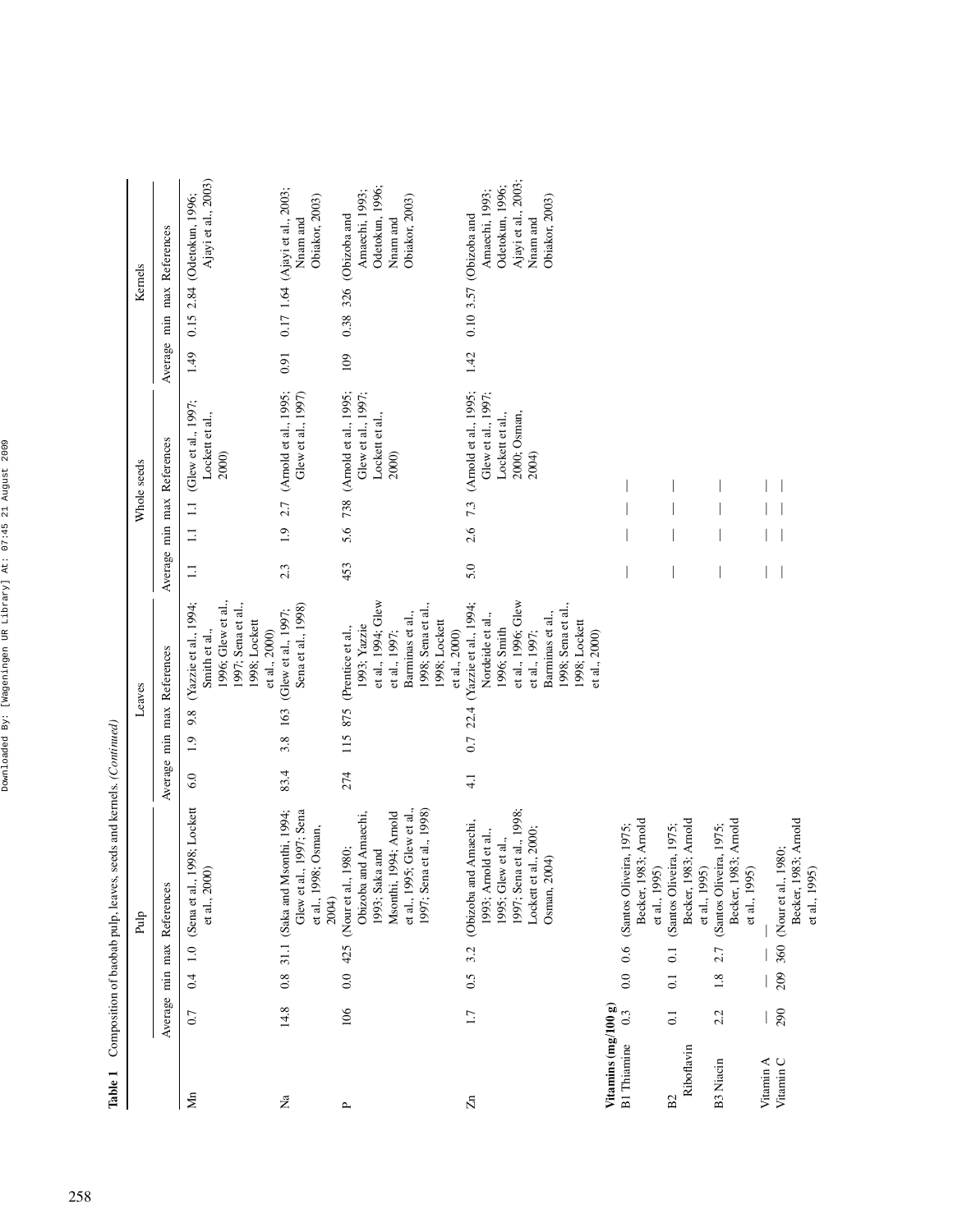| Table 1                      |                              |                                      | seeds and kernels. (Continued)<br>Composition of baobab pulp, leaves,                                                                            |             |          |                                                                                                                                                                             |        |                 |             |                                                                                         |      |                                                                                                                    |
|------------------------------|------------------------------|--------------------------------------|--------------------------------------------------------------------------------------------------------------------------------------------------|-------------|----------|-----------------------------------------------------------------------------------------------------------------------------------------------------------------------------|--------|-----------------|-------------|-----------------------------------------------------------------------------------------|------|--------------------------------------------------------------------------------------------------------------------|
|                              |                              |                                      | Pulp                                                                                                                                             |             |          | Leaves                                                                                                                                                                      |        |                 | Whole seeds |                                                                                         |      | Kernels                                                                                                            |
|                              |                              |                                      | Average min max References                                                                                                                       |             |          | Average min max References                                                                                                                                                  |        |                 |             | Average min max References                                                              |      | Average min max References                                                                                         |
| $\sum_{n=1}^{\infty}$        | 0.7                          | 0.4                                  | 1998; Lockett<br>et al., 2000)<br>1.0 (Sena et al.,                                                                                              | 1.9<br>6.0  | 9.8      | 1996; Glew et al.,<br>(Yazzie et al., 1994;<br>1997; Sena et al.,<br>1998; Lockett<br>Smith et al.,<br>et al., 2000)                                                        | $\Box$ | $1.1 \quad 1.1$ |             | (Glew et al., 1997;<br>Lockett et al.,<br>2000)                                         | 1.49 | Ajayi et al., 2003)<br>0.15 2.84 (Odetokun, 1996;                                                                  |
| $\tilde{\mathbf{z}}$         | 14.8                         | 0.8                                  | Glew et al., 1997; Sena<br>31.1 (Saka and Msonthi, 1994;<br>et al., 1998; Osman,<br>2004)                                                        | 3.8<br>83.4 | 163      | Sena et al., 1998)<br>(Glew et al., 1997;                                                                                                                                   | 2.3    | 1.9             | 2.7         | (Amold et al., 1995;<br>Glew et al., 1997)                                              | 0.91 | 0.17 1.64 (Ajayi et al., 2003;<br>Obiakor, 2003)<br>Nnam and                                                       |
| $\sim$                       | 106                          | 0.0425                               | et al., 1995; Glew et al.,<br>1997; Sena et al., 1998)<br>Msonthi, 1994; Arnold<br>Obizoba and Amaechi,<br>(Nour et al., 1980;<br>1993; Saka and | 115<br>274  | 875      | et al., 1994; Glew<br>1998; Sena et al.,<br>Barminas et al.,<br>1998; Lockett<br>1993; Yazzie<br>(Prentice et al.,<br>et al., 1997;<br>et al., 2000)                        | 453    |                 |             | 5.6 738 (Amold et al., 1995;<br>Glew et al., 1997;<br>Lockett et al.,<br>2000)          | 109  | Odetokun, 1996;<br>Amaechi, 1993;<br>Obiakor, 2003)<br>0.38 326 (Obizoba and<br>Nnam and                           |
| $\overline{z}$               | 1.7                          | 0.5                                  | 1997; Sena et al., 1998;<br>3.2 (Obizoba and Amaechi,<br>Lockett et al., 2000;<br>1993; Arnold et al.,<br>1995; Glew et al.,<br>Osman, 2004)     | 4.1         | 0.7 22.4 | (Yazzie et al., 1994;<br>et al., 1996; Glew<br>1998; Sena et al.,<br>Barminas et al.,<br>Nordeide et al.,<br>1998; Lockett<br>1996; Smith<br>et al., 1997;<br>et al., 2000) | 5.0    | 2.6             | 7.3         | (Arnold et al., 1995;<br>Glew et al., 1997;<br>2000; Osman,<br>Lockett et al.,<br>2004) | 1.42 | Ajayi et al., 2003;<br>Odetokun, 1996;<br>Amaechi, 1993;<br>Obiakor, 2003)<br>$0.10$ 3.57 (Obizoba and<br>Nnam and |
| <b>B1</b> Thiamine           | Vitamins $(mg/100 g)$<br>0.3 | 0.0                                  | Becker, 1983; Arnold<br>0.6 (Santos Oliveira, 1975;<br>et al., 1995)                                                                             |             |          |                                                                                                                                                                             |        |                 |             |                                                                                         |      |                                                                                                                    |
| Riboflavin<br>B <sub>2</sub> | $\overline{0}$ .             | $\overline{0}$ .<br>$\overline{0}$ . | Becker, 1983; Arnold<br>(Santos Oliveira, 1975;<br>et al., 1995)                                                                                 |             |          |                                                                                                                                                                             |        |                 |             |                                                                                         |      |                                                                                                                    |
| <b>B3</b> Niacin             | 2.2                          | 2.7<br>1.8                           | Becker, 1983; Arnold<br>(Santos Oliveira, 1975;<br>et al., 1995)                                                                                 |             |          |                                                                                                                                                                             |        |                 |             |                                                                                         |      |                                                                                                                    |
| Vitamin A<br>Vitamin C       |                              |                                      |                                                                                                                                                  |             |          |                                                                                                                                                                             |        |                 |             |                                                                                         |      |                                                                                                                    |
|                              | 290                          | 360<br>209                           | Becker, 1983; Arnold<br>(Nour et al., 1980;<br>et al., 1995)                                                                                     |             |          |                                                                                                                                                                             |        |                 |             |                                                                                         |      |                                                                                                                    |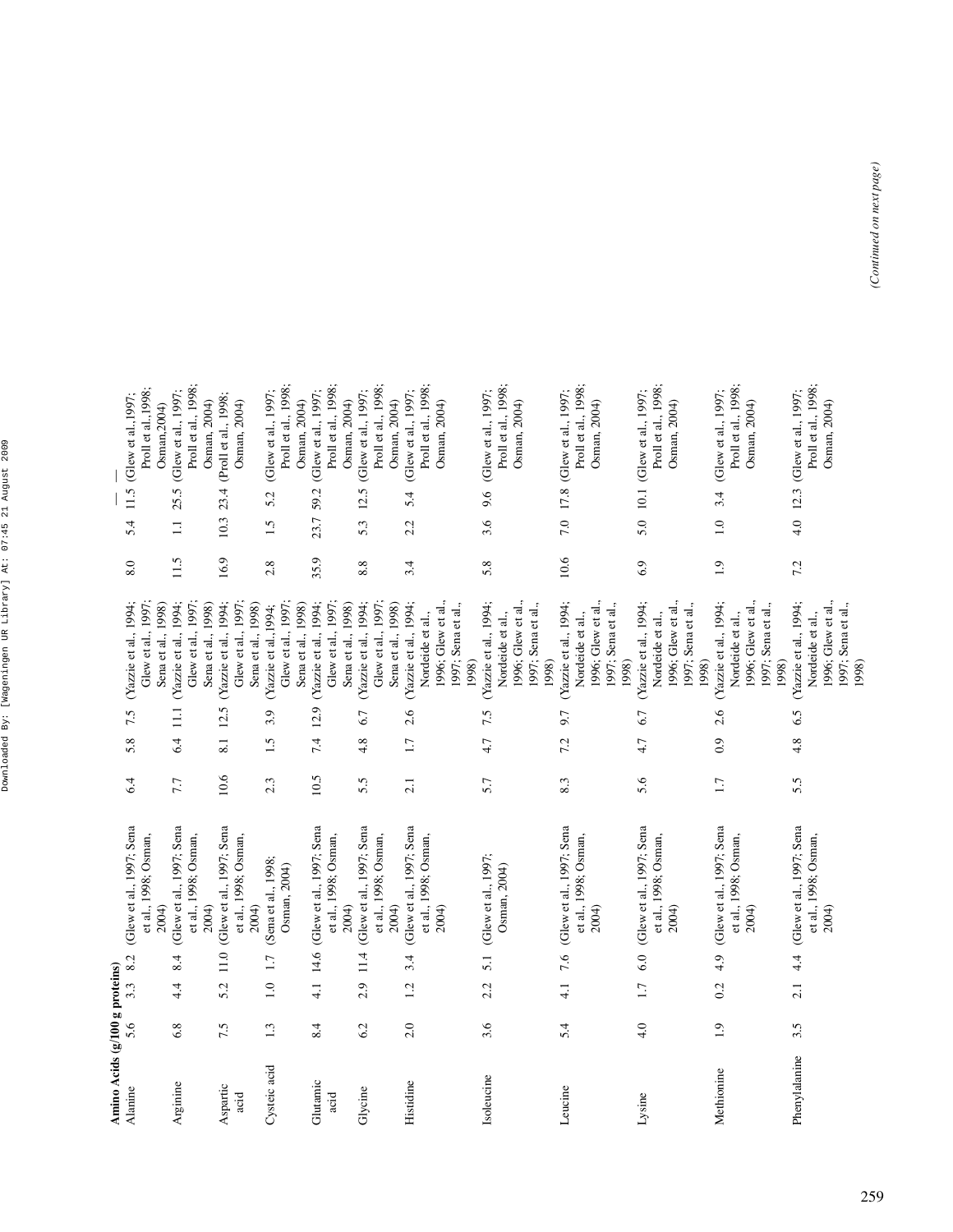| Ē      |
|--------|
| ۰<br>O |
| Ş<br>٢ |
| Ě      |
|        |

| Amino Acids (g/100 g proteins) |     |               |                  |                                                           |      |                          |      |                                                                                                |      |          |      |                                                                 |
|--------------------------------|-----|---------------|------------------|-----------------------------------------------------------|------|--------------------------|------|------------------------------------------------------------------------------------------------|------|----------|------|-----------------------------------------------------------------|
| Alanine                        | 5.6 | 3.3           | 8.2              | (Glew et al., 1997; Sena                                  | 6.4  | 5.8                      | 7.5  | (Yazzie et al., 1994;                                                                          | 8.0  | 5.4      | 11.5 | (Glew et al., 1997;                                             |
|                                |     |               |                  | et al., 1998; Osman,<br>2004)                             |      |                          |      | Glew et al., 1997;<br>Sena et al., 1998)                                                       |      |          |      | Proll et al., 1998;<br>Osman, 2004)                             |
| Arginine                       | 6.8 | $4\cdot$      | 8.4              | (Glew et al., 1997; Sena<br>et al., 1998; Osman,<br>2004) | 7.7  | $6\ddot{4}$              | 11.1 | Glew et al., 1997;<br>Sena et al., 1998)<br>(Yazzie et al., 1994;                              | 11.5 | $\equiv$ | 25.5 | Proll et al., 1998;<br>(Glew et al., 1997;<br>Osman, 2004)      |
| Aspartic<br>acid               | 7.5 | 5.2           | 11.0             | (Glew et al., 1997; Sena<br>et al., 1998; Osman,<br>2004) | 10.6 | $\overline{\phantom{0}}$ | 12.5 | (Yazzie et al., 1994;<br>Glew et al., 1997;<br>Sena et al., 1998)                              | 16.9 | 10.3     | 23.4 | (Proll et al., 1998;<br>Osman, 2004)                            |
| Cysteic acid                   | 1.3 | $1.0\,$       | 1.7              | (Sena et al., 1998;<br>Osman, 2004)                       | 2.3  | 1.5                      | 3.9  | Glew et al., 1997;<br>Sena et al., 1998)<br>(Yazzie et al., 1994;                              | 2.8  | 1.5      | 5.2  | Proll et al., 1998;<br>(Glew et al., 1997;<br>Osman, 2004)      |
| Glutanic<br>acid               | 8.4 | $\frac{1}{4}$ | 14.6             | (Glew et al., 1997; Sena<br>et al., 1998; Osman,<br>2004) | 10.5 | 7.4                      | 12.9 | (Yazzie et al., 1994;<br>Sena et al., 1998)<br>Glew et al., 1997;                              | 35.9 | 23.7     | 59.2 | Proll et al., 1998;<br>(Glew et al., 1997;<br>Osman, 2004)      |
| Glycine                        | 6.2 | 2.9           | 11.4             | (Glew et al., 1997; Sena<br>et al., 1998; Osman,<br>2004) | 5.5  | 4.8                      | 6.7  | (Yazzie et al., 1994;<br>Glew et al., 1997;<br>Sena et al., 1998)                              | 8.8  | 5.3      | 12.5 | Proll et al., 1998;<br>(Glew et al., 1997;<br>Osman, 2004)      |
| Histidine                      | 2.0 | 1.2           | 3.4              | (Glew et al., 1997; Sena<br>et al., 1998; Osman,<br>2004) | 2.1  | 1.7                      | 2.6  | 1996; Glew et al.,<br>1997; Sena et al.,<br>(Yazzie et al., 1994;<br>Nordeide et al.,<br>1998) | 3.4  | 2.2      | 5.4  | Proll et al., 1998;<br>(Glew et al., 1997;<br>Osman, 2004)      |
| Isoleucine                     | 3.6 | 2.2           | 5.1              | (Glew et al., 1997;<br>Osman, 2004)                       | 5.7  | 4.7                      | 7.5  | 1996; Glew et al.,<br>(Yazzie et al., 1994;<br>1997; Sena et al.,<br>Nordeide et al.,<br>1998) | 5.8  | 3.6      | 9.6  | Proll et al., 1998;<br>(Glew et al., 1997;<br>Osman, 2004)      |
| Leucine                        | 5.4 | $\frac{1}{4}$ | 7.6              | (Glew et al., 1997; Sena<br>et al., 1998; Osman,<br>2004) | 8.3  | 7.2                      | 9.7  | 1997; Sena et al.,<br>(Yazzie et al., 1994;<br>1996; Glew et al.,<br>Nordeide et al.,<br>1998) | 10.6 | 7.0      | 17.8 | Proll et al., 1998;<br>(Glew et al., 1997;<br>Osman, 2004)      |
| Lysine                         | 4.0 | 1.7           | $\overline{6.0}$ | (Glew et al., 1997; Sena<br>et al., 1998; Osman,<br>2004) | 5.6  | 4.7                      | 6.7  | 1996; Glew et al.,<br>(Yazzie et al., 1994;<br>1997; Sena et al.,<br>Nordeide et al.,<br>1998) | 6.9  | 5.0      | 10.1 | Proll et al., 1998;<br>(Glew et al., 1997;<br>Osman, 2004)      |
| Methionine                     | 1.9 | 0.2           | 4.9              | (Glew et al., 1997; Sena<br>et al., 1998; Osman,<br>2004) | 1.7  | 0.9                      | 2.6  | 1996; Glew et al.,<br>1997; Sena et al.,<br>(Yazzie et al., 1994;<br>Nordeide et al.,<br>1998) | 1.9  | 1.0      | 3.4  | Proll et al., 1998;<br>(Glew et al., 1997;<br>Osman, 2004)      |
| Phenylalanine                  | 3.5 | 2.1           | $\dot{4}$        | (Glew et al., 1997; Sena<br>et al., 1998; Osman,<br>2004) | 5.5  | 4.8                      | 6.5  | (Yazzie et al., 1994;<br>1997; Sena et al.,<br>1996; Glew et al.<br>Nordeide et al.,<br>1998)  | 7.2  | 4.0      |      | Proll et al., 1998;<br>12.3 (Glew et al., 1997;<br>Osman, 2004) |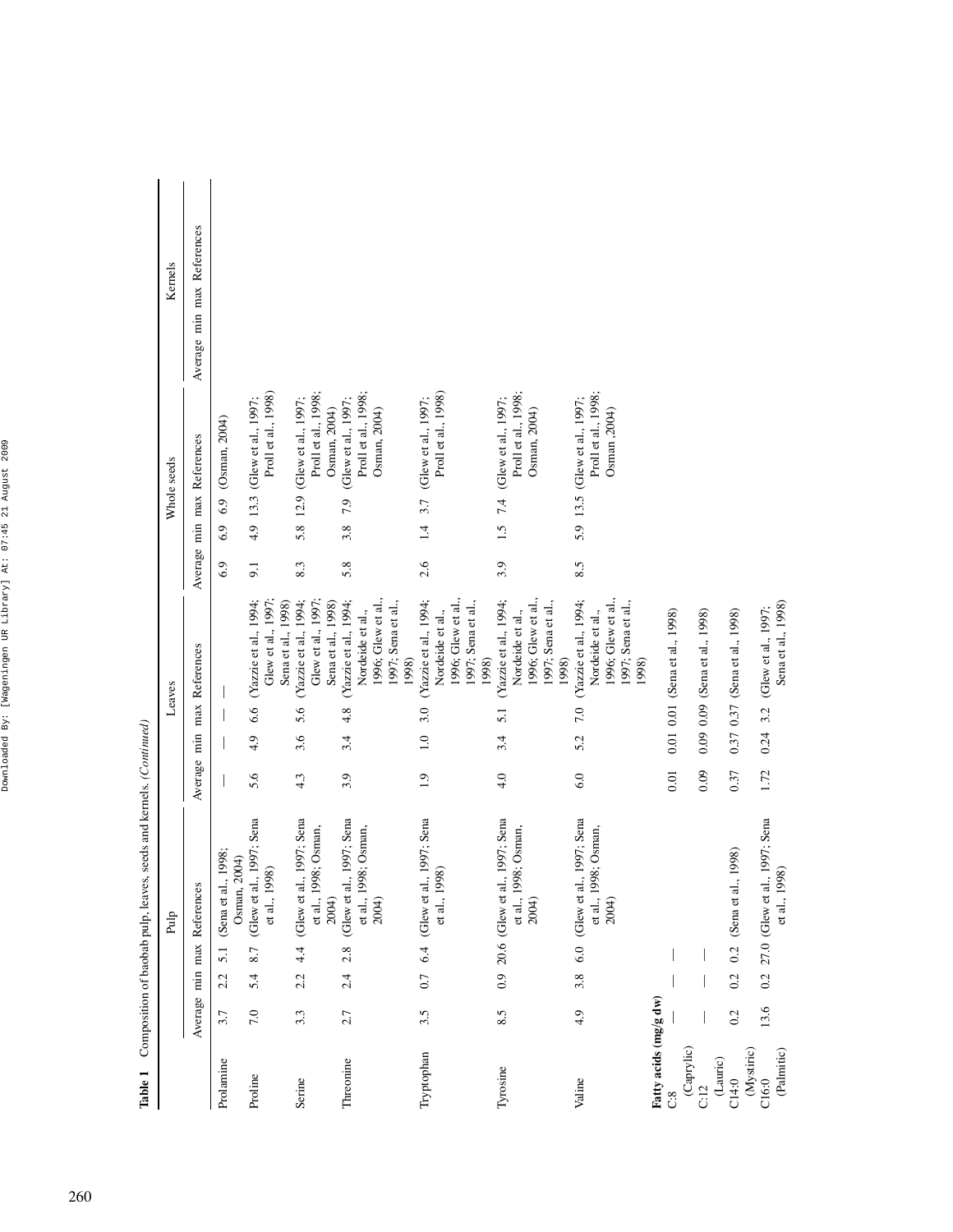| Table 1                                                            |      |            | Composition of baobab pulp, leaves, seeds and kernels. (Continued)        |      |      |     |                                                                                                |     |     |     |                                                                  |                            |  |
|--------------------------------------------------------------------|------|------------|---------------------------------------------------------------------------|------|------|-----|------------------------------------------------------------------------------------------------|-----|-----|-----|------------------------------------------------------------------|----------------------------|--|
|                                                                    |      |            | Pulp                                                                      |      |      |     | Leaves                                                                                         |     |     |     | Whole seeds                                                      | Kernels                    |  |
|                                                                    |      |            | Average min max References                                                |      |      |     | Average min max References                                                                     |     |     |     | Average min max References                                       | Average min max References |  |
| Prolamine                                                          | 3.7  | 5.1<br>2.2 | (Sena et al., 1998;<br>Osman, 2004)                                       |      |      |     |                                                                                                | 6.9 | 6.9 | 6.9 | (Osman, 2004)                                                    |                            |  |
| Proline                                                            | 7.0  | 5.4        | 8.7 (Glew et al., 1997; Sena<br>et al., 1998)                             | 5.6  | 4.9  | 6.6 | (Yazzie et al., 1994;<br>Glew et al., 1997;<br>Sena et al., 1998)                              | 9.1 |     |     | Proll et al., 1998)<br>4.9 13.3 (Glew et al., 1997;              |                            |  |
| Serine                                                             | 3.3  | 2.2        | 4.4 (Glew et al., 1997; Sena<br>Osman,<br>et al., 1998;<br>2004)          | 4.3  | 3.6  | 5.6 | Glew et al., 1997;<br>(Yazzie et al., 1994;<br>Sena et al., 1998)                              | 8.3 | 5.8 |     | Proll et al., 1998;<br>12.9 (Glew et al., 1997;<br>Osman, 2004)  |                            |  |
| Threonine                                                          | 2.7  | 2.4        | 997; Sena<br>Osman,<br>2.8 (Glew et al., 1<br>et al., 1998;<br>2004)      | 3.9  | 3.4  | 4.8 | 1996; Glew et al.,<br>(Yazzie et al., 1994;<br>1997; Sena et al.,<br>Nordeide et al.,<br>1998) | 5.8 | 3.8 | 7.9 | Proll et al., 1998;<br>(Glew et al., 1997;<br>Osman, 2004)       |                            |  |
| Tryptophan                                                         | 3.5  | 0.7        | 997; Sena<br>6.4 (Glew et al., 1<br>et al., 1998)                         | 1.9  | 1.0  | 3.0 | 1996; Glew et al.,<br>(Yazzie et al., 1994;<br>1997; Sena et al.,<br>Nordeide et al.,<br>1998) | 2.6 | 1.4 | 3.7 | Proll et al., 1998)<br>(Glew et al., 1997;                       |                            |  |
| Tyrosine                                                           | 8.5  |            | 997; Sena<br>Osman,<br>0.9 20.6 (Glew et al., 1<br>et al., 1998;<br>2004) | 4.0  | 3.4  | 5.1 | 1996; Glew et al.,<br>(Yazzie et al., 1994;<br>1997; Sena et al.,<br>Nordeide et al.,<br>1998) | 3.9 | 1.5 | 7.4 | Proll et al., 1998;<br>(Glew et al., 1997;<br>Osman, 2004)       |                            |  |
| Valine                                                             | 4.9  | 3.8        | 6.0 (Glew et al., 1997; Sena<br>: Osman,<br>et al., 1998;<br>2004)        | 6.0  | 5.2  | 7.0 | (Yazzie et al., 1994;<br>1996; Glew et al.,<br>1997; Sena et al.,<br>Nordeide et al.,<br>1998) | 8.5 | 5.9 |     | Proll et al., 1998;<br>13.5 (Glew et al., 1997;<br>Osman , 2004) |                            |  |
| Fatty acids (mg/g dw)<br>C.8                                       |      |            |                                                                           | 0.01 |      |     | 0.01 0.01 (Sena et al., 1998)                                                                  |     |     |     |                                                                  |                            |  |
| $\frac{\text{(Capylic)}}{\text{C:12}}$                             |      |            |                                                                           | 0.09 |      |     | 0.09 0.09 (Sena et al., 1998)                                                                  |     |     |     |                                                                  |                            |  |
| $\begin{array}{c} \textrm{(Lauric)} \\ \textrm{C14:0} \end{array}$ | 0.2  | 0.2        | 0.2 (Sena et al., 1998)                                                   | 0.37 |      |     | 0.37 0.37 (Sena et al., 1998)                                                                  |     |     |     |                                                                  |                            |  |
| $$\mathrm{(Mystiric)}$$ C16:0<br>(Palmitic)                        | 13.6 |            | 997; Sena<br>et al., 1998)<br>0.2 27.0 (Glew et al., 1                    | 1.72 | 0.24 | 3.2 | Sena et al., 1998)<br>(Glew et al., 1997;                                                      |     |     |     |                                                                  |                            |  |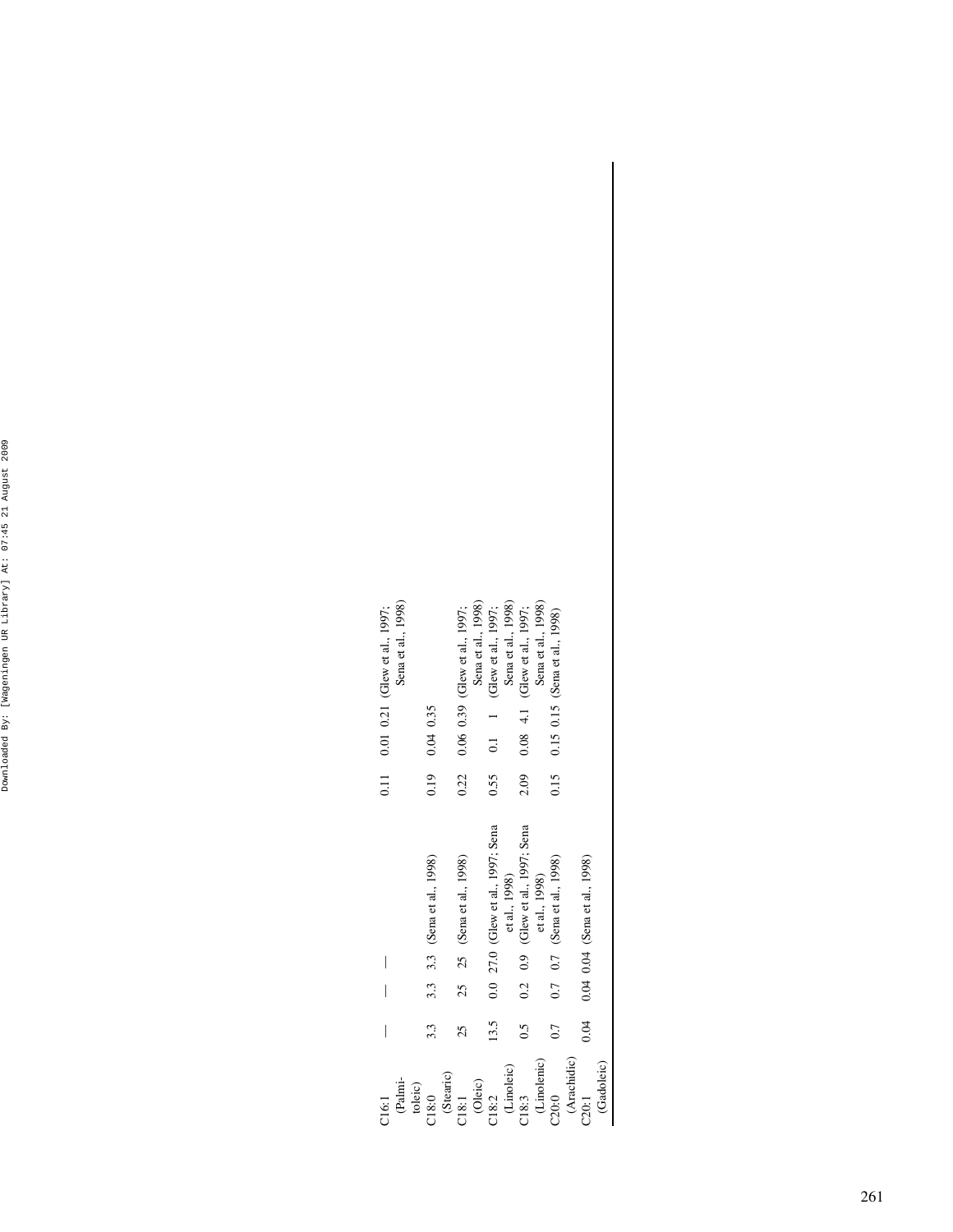| C16:1       | $\begin{array}{c} \hline \end{array}$ |  |                                   | $\overline{0}$ |           | 0.01 0.21 (Glew et al., 1997; |
|-------------|---------------------------------------|--|-----------------------------------|----------------|-----------|-------------------------------|
| Palmi-      |                                       |  |                                   |                |           | Sena et al., 1998)            |
| toleic)     |                                       |  |                                   |                |           |                               |
| C18:0       | 33                                    |  | 3.3 3.3 (Sena et al., 1998)       | 0.19           | 0.04 0.35 |                               |
| (Stearic)   |                                       |  |                                   |                |           |                               |
| C18:1       | 25                                    |  | 25 25 (Sena et al., 1998)         | 0.22           |           | 0.06 0.39 (Glew et al., 1997; |
| (Oleic)     |                                       |  |                                   |                |           | Sena et al., 1998)            |
| C18:2       | 13.5                                  |  | 0.0 27.0 (Glew et al., 1997; Sena | 0.55           | 0.1       | (Glew et al., 1997;           |
| (Linoleic)  |                                       |  | et al., 1998)                     |                |           | Sena et al., 1998)            |
| C18:3       | $\tilde{c}$                           |  | 0.2 0.9 (Glew et al., 1997; Sena  | 2.09           | 0.0841    | (Glew et al., 1997;           |
| (Linolenic) |                                       |  | et al., 1998)                     |                |           | Sena et al., 1998)            |
| C20:0       | $\overline{0.7}$                      |  | 0.7 0.7 (Sena et al., 1998)       | 0.15           |           | 0.15 0.15 (Sena et al., 1998) |
| (Arachidic) |                                       |  |                                   |                |           |                               |
| C20:1       | 0.04                                  |  | $0.04$ 0.04 (Sena et al., 1998)   |                |           |                               |
| (Gadoleic)  |                                       |  |                                   |                |           |                               |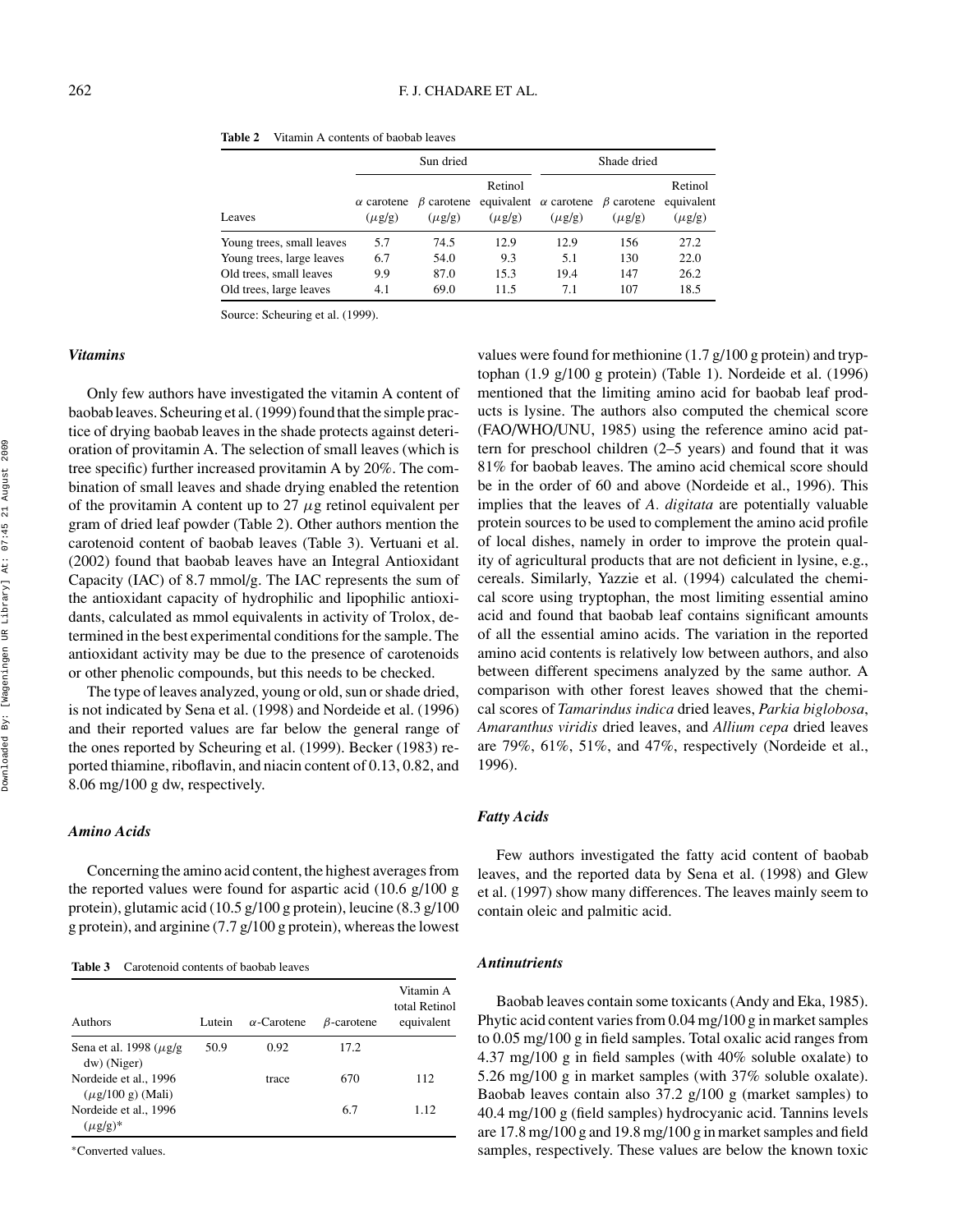| Table 2 |  | Vitamin A contents of baobab leaves |  |  |
|---------|--|-------------------------------------|--|--|
|---------|--|-------------------------------------|--|--|

|                           |                                  | Sun dried   |                        |             | Shade dried                                                                              |                        |
|---------------------------|----------------------------------|-------------|------------------------|-------------|------------------------------------------------------------------------------------------|------------------------|
| Leaves                    | $\alpha$ carotene<br>$(\mu$ g/g) | $(\mu$ g/g) | Retinol<br>$(\mu$ g/g) | $(\mu$ g/g) | $\beta$ carotene equivalent $\alpha$ carotene $\beta$ carotene equivalent<br>$(\mu$ g/g) | Retinol<br>$(\mu$ g/g) |
| Young trees, small leaves | 5.7                              | 74.5        | 12.9                   | 12.9        | 156                                                                                      | 27.2                   |
| Young trees, large leaves | 6.7                              | 54.0        | 9.3                    | 5.1         | 130                                                                                      | 22.0                   |
| Old trees, small leaves   | 9.9                              | 87.0        | 15.3                   | 19.4        | 147                                                                                      | 26.2                   |
| Old trees, large leaves   | 4.1                              | 69.0        | 11.5                   | 7.1         | 107                                                                                      | 18.5                   |

Source: Scheuring et al. (1999).

#### *Vitamins*

Only few authors have investigated the vitamin A content of baobab leaves. Scheuring et al. (1999) found that the simple practice of drying baobab leaves in the shade protects against deterioration of provitamin A. The selection of small leaves (which is tree specific) further increased provitamin A by 20%. The combination of small leaves and shade drying enabled the retention of the provitamin A content up to 27  $\mu$ g retinol equivalent per gram of dried leaf powder (Table 2). Other authors mention the carotenoid content of baobab leaves (Table 3). Vertuani et al. (2002) found that baobab leaves have an Integral Antioxidant Capacity (IAC) of 8.7 mmol/g. The IAC represents the sum of the antioxidant capacity of hydrophilic and lipophilic antioxidants, calculated as mmol equivalents in activity of Trolox, determined in the best experimental conditions for the sample. The antioxidant activity may be due to the presence of carotenoids or other phenolic compounds, but this needs to be checked.

The type of leaves analyzed, young or old, sun or shade dried, is not indicated by Sena et al. (1998) and Nordeide et al. (1996) and their reported values are far below the general range of the ones reported by Scheuring et al. (1999). Becker (1983) reported thiamine, riboflavin, and niacin content of 0.13, 0.82, and 8.06 mg/100 g dw, respectively.

## *Amino Acids*

Concerning the amino acid content, the highest averages from the reported values were found for aspartic acid (10.6 g/100 g protein), glutamic acid (10.5 g/100 g protein), leucine (8.3 g/100 g protein), and arginine (7.7 g/100 g protein), whereas the lowest

**Table 3** Carotenoid contents of baobab leaves

| <b>Authors</b>                                  | Lutein | $\alpha$ -Carotene | $\beta$ -carotene | Vitamin A<br>total Retinol<br>equivalent |
|-------------------------------------------------|--------|--------------------|-------------------|------------------------------------------|
| Sena et al. 1998 ( $\mu$ g/g<br>dw) (Niger)     | 50.9   | 0.92               | 17.2              |                                          |
| Nordeide et al., 1996<br>$(\mu$ g/100 g) (Mali) |        | trace              | 670               | 112                                      |
| Nordeide et al., 1996<br>$(\mu$ g/g)*           |        |                    | 6.7               | 1.12                                     |

∗Converted values.

values were found for methionine (1.7 g/100 g protein) and tryptophan (1.9 g/100 g protein) (Table 1). Nordeide et al. (1996) mentioned that the limiting amino acid for baobab leaf products is lysine. The authors also computed the chemical score (FAO/WHO/UNU, 1985) using the reference amino acid pattern for preschool children (2–5 years) and found that it was 81% for baobab leaves. The amino acid chemical score should be in the order of 60 and above (Nordeide et al., 1996). This implies that the leaves of *A. digitata* are potentially valuable protein sources to be used to complement the amino acid profile of local dishes, namely in order to improve the protein quality of agricultural products that are not deficient in lysine, e.g., cereals. Similarly, Yazzie et al. (1994) calculated the chemical score using tryptophan, the most limiting essential amino acid and found that baobab leaf contains significant amounts of all the essential amino acids. The variation in the reported amino acid contents is relatively low between authors, and also between different specimens analyzed by the same author. A comparison with other forest leaves showed that the chemical scores of *Tamarindus indica* dried leaves, *Parkia biglobosa*, *Amaranthus viridis* dried leaves, and *Allium cepa* dried leaves are 79%, 61%, 51%, and 47%, respectively (Nordeide et al., 1996).

#### *Fatty Acids*

Few authors investigated the fatty acid content of baobab leaves, and the reported data by Sena et al. (1998) and Glew et al. (1997) show many differences. The leaves mainly seem to contain oleic and palmitic acid.

## *Antinutrients*

Baobab leaves contain some toxicants (Andy and Eka, 1985). Phytic acid content varies from 0.04 mg/100 g in market samples to 0.05 mg/100 g in field samples. Total oxalic acid ranges from 4.37 mg/100 g in field samples (with 40% soluble oxalate) to 5.26 mg/100 g in market samples (with 37% soluble oxalate). Baobab leaves contain also 37.2 g/100 g (market samples) to 40.4 mg/100 g (field samples) hydrocyanic acid. Tannins levels are 17.8 mg/100 g and 19.8 mg/100 g in market samples and field samples, respectively. These values are below the known toxic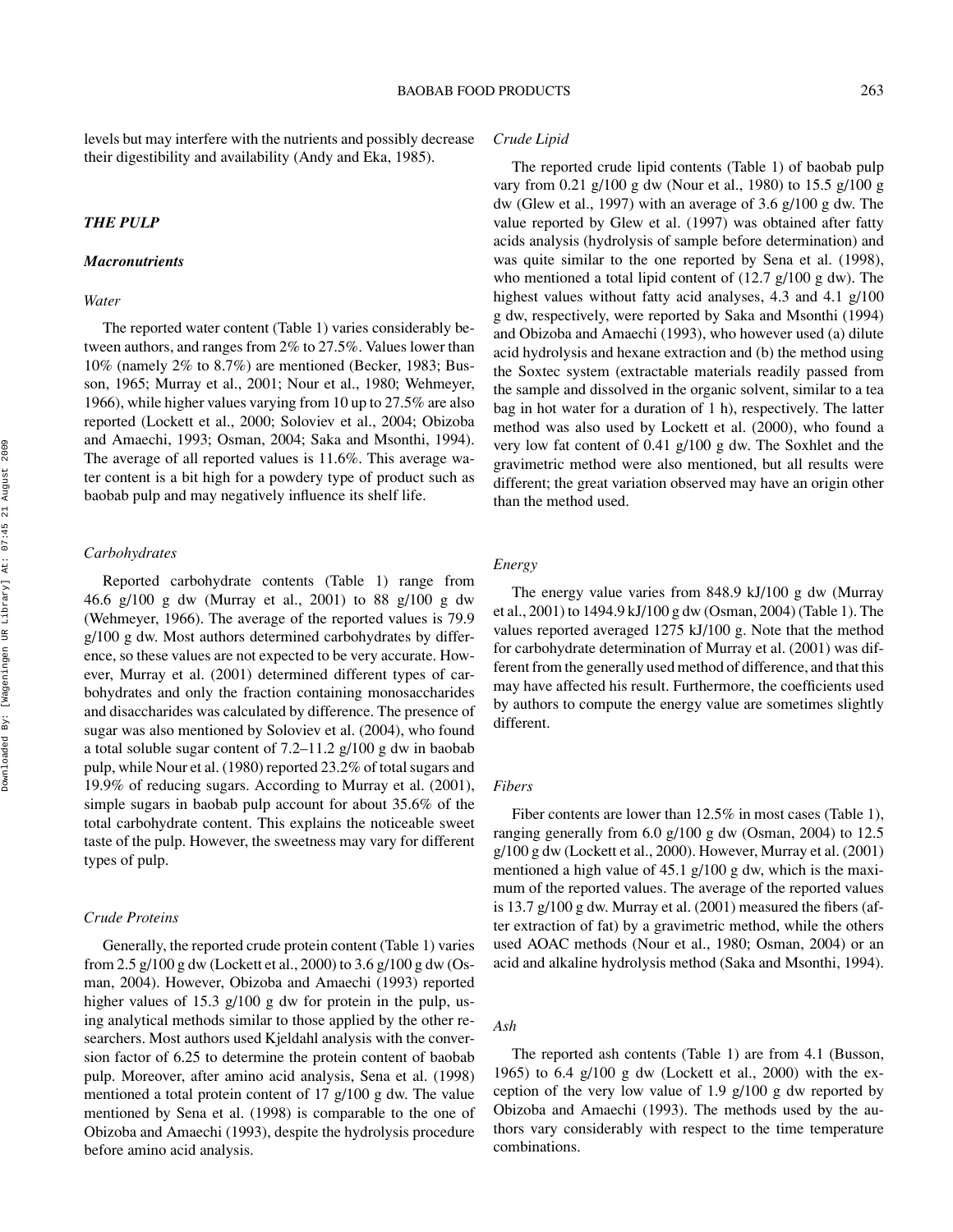levels but may interfere with the nutrients and possibly decrease their digestibility and availability (Andy and Eka, 1985).

## *THE PULP*

#### *Macronutrients*

## *Water*

The reported water content (Table 1) varies considerably between authors, and ranges from 2% to 27.5%. Values lower than 10% (namely 2% to 8.7%) are mentioned (Becker, 1983; Busson, 1965; Murray et al., 2001; Nour et al., 1980; Wehmeyer, 1966), while higher values varying from 10 up to 27.5% are also reported (Lockett et al., 2000; Soloviev et al., 2004; Obizoba and Amaechi, 1993; Osman, 2004; Saka and Msonthi, 1994). The average of all reported values is 11.6%. This average water content is a bit high for a powdery type of product such as baobab pulp and may negatively influence its shelf life.

## *Carbohydrates*

Reported carbohydrate contents (Table 1) range from 46.6 g/100 g dw (Murray et al., 2001) to 88 g/100 g dw (Wehmeyer, 1966). The average of the reported values is 79.9 g/100 g dw. Most authors determined carbohydrates by difference, so these values are not expected to be very accurate. However, Murray et al. (2001) determined different types of carbohydrates and only the fraction containing monosaccharides and disaccharides was calculated by difference. The presence of sugar was also mentioned by Soloviev et al. (2004), who found a total soluble sugar content of 7.2–11.2 g/100 g dw in baobab pulp, while Nour et al. (1980) reported 23.2% of total sugars and 19.9% of reducing sugars. According to Murray et al. (2001), simple sugars in baobab pulp account for about 35.6% of the total carbohydrate content. This explains the noticeable sweet taste of the pulp. However, the sweetness may vary for different types of pulp.

#### *Crude Proteins*

Generally, the reported crude protein content (Table 1) varies from 2.5 g/100 g dw (Lockett et al., 2000) to 3.6 g/100 g dw (Osman, 2004). However, Obizoba and Amaechi (1993) reported higher values of 15.3 g/100 g dw for protein in the pulp, using analytical methods similar to those applied by the other researchers. Most authors used Kjeldahl analysis with the conversion factor of 6.25 to determine the protein content of baobab pulp. Moreover, after amino acid analysis, Sena et al. (1998) mentioned a total protein content of 17 g/100 g dw. The value mentioned by Sena et al. (1998) is comparable to the one of Obizoba and Amaechi (1993), despite the hydrolysis procedure before amino acid analysis.

#### *Crude Lipid*

The reported crude lipid contents (Table 1) of baobab pulp vary from 0.21 g/100 g dw (Nour et al., 1980) to 15.5 g/100 g dw (Glew et al., 1997) with an average of 3.6 g/100 g dw. The value reported by Glew et al. (1997) was obtained after fatty acids analysis (hydrolysis of sample before determination) and was quite similar to the one reported by Sena et al. (1998), who mentioned a total lipid content of  $(12.7 \text{ g}/100 \text{ g dw})$ . The highest values without fatty acid analyses, 4.3 and 4.1 g/100 g dw, respectively, were reported by Saka and Msonthi (1994) and Obizoba and Amaechi (1993), who however used (a) dilute acid hydrolysis and hexane extraction and (b) the method using the Soxtec system (extractable materials readily passed from the sample and dissolved in the organic solvent, similar to a tea bag in hot water for a duration of 1 h), respectively. The latter method was also used by Lockett et al. (2000), who found a very low fat content of 0.41 g/100 g dw. The Soxhlet and the gravimetric method were also mentioned, but all results were different; the great variation observed may have an origin other than the method used.

#### *Energy*

The energy value varies from 848.9 kJ/100 g dw (Murray et al., 2001) to 1494.9 kJ/100 g dw (Osman, 2004) (Table 1). The values reported averaged 1275 kJ/100 g. Note that the method for carbohydrate determination of Murray et al. (2001) was different from the generally used method of difference, and that this may have affected his result. Furthermore, the coefficients used by authors to compute the energy value are sometimes slightly different.

#### *Fibers*

Fiber contents are lower than  $12.5\%$  in most cases (Table 1), ranging generally from 6.0 g/100 g dw (Osman, 2004) to 12.5 g/100 g dw (Lockett et al., 2000). However, Murray et al. (2001) mentioned a high value of 45.1 g/100 g dw, which is the maximum of the reported values. The average of the reported values is 13.7 g/100 g dw. Murray et al. (2001) measured the fibers (after extraction of fat) by a gravimetric method, while the others used AOAC methods (Nour et al., 1980; Osman, 2004) or an acid and alkaline hydrolysis method (Saka and Msonthi, 1994).

## *Ash*

The reported ash contents (Table 1) are from 4.1 (Busson, 1965) to 6.4 g/100 g dw (Lockett et al., 2000) with the exception of the very low value of 1.9 g/100 g dw reported by Obizoba and Amaechi (1993). The methods used by the authors vary considerably with respect to the time temperature combinations.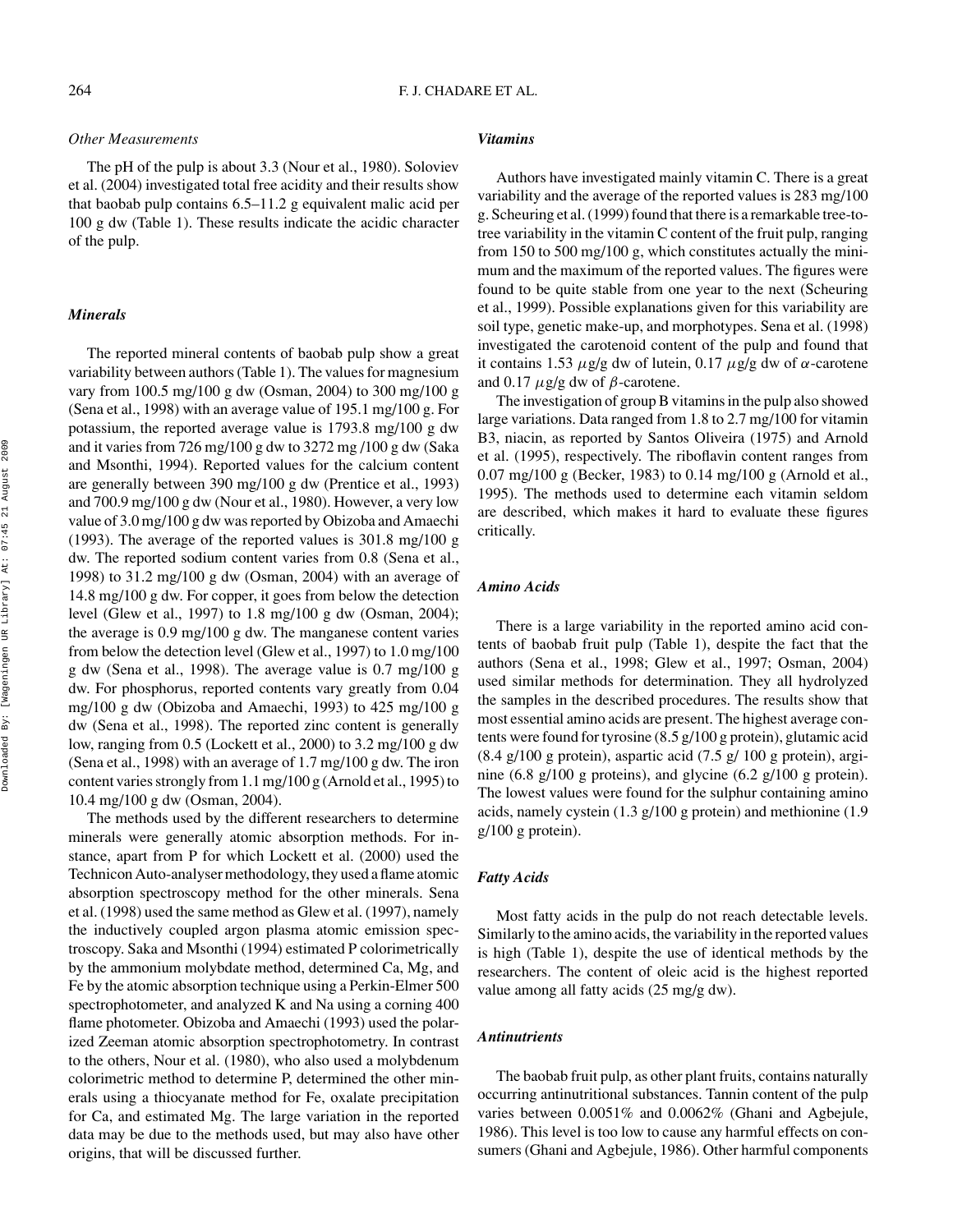#### *Other Measurements*

The pH of the pulp is about 3.3 (Nour et al., 1980). Soloviev et al. (2004) investigated total free acidity and their results show that baobab pulp contains 6.5–11.2 g equivalent malic acid per 100 g dw (Table 1). These results indicate the acidic character of the pulp.

## *Minerals*

The reported mineral contents of baobab pulp show a great variability between authors (Table 1). The values for magnesium vary from 100.5 mg/100 g dw (Osman, 2004) to 300 mg/100 g (Sena et al., 1998) with an average value of 195.1 mg/100 g. For potassium, the reported average value is 1793.8 mg/100 g dw and it varies from 726 mg/100 g dw to 3272 mg /100 g dw (Saka and Msonthi, 1994). Reported values for the calcium content are generally between 390 mg/100 g dw (Prentice et al., 1993) and 700.9 mg/100 g dw (Nour et al., 1980). However, a very low value of 3.0 mg/100 g dw was reported by Obizoba and Amaechi (1993). The average of the reported values is 301.8 mg/100 g dw. The reported sodium content varies from 0.8 (Sena et al., 1998) to 31.2 mg/100 g dw (Osman, 2004) with an average of 14.8 mg/100 g dw. For copper, it goes from below the detection level (Glew et al., 1997) to 1.8 mg/100 g dw (Osman, 2004); the average is 0.9 mg/100 g dw. The manganese content varies from below the detection level (Glew et al., 1997) to 1.0 mg/100 g dw (Sena et al., 1998). The average value is 0.7 mg/100 g dw. For phosphorus, reported contents vary greatly from 0.04 mg/100 g dw (Obizoba and Amaechi, 1993) to 425 mg/100 g dw (Sena et al., 1998). The reported zinc content is generally low, ranging from 0.5 (Lockett et al., 2000) to 3.2 mg/100 g dw (Sena et al., 1998) with an average of 1.7 mg/100 g dw. The iron content varies strongly from 1.1 mg/100 g (Arnold et al., 1995) to 10.4 mg/100 g dw (Osman, 2004).

The methods used by the different researchers to determine minerals were generally atomic absorption methods. For instance, apart from P for which Lockett et al. (2000) used the Technicon Auto-analyser methodology, they used a flame atomic absorption spectroscopy method for the other minerals. Sena et al. (1998) used the same method as Glew et al. (1997), namely the inductively coupled argon plasma atomic emission spectroscopy. Saka and Msonthi (1994) estimated P colorimetrically by the ammonium molybdate method, determined Ca, Mg, and Fe by the atomic absorption technique using a Perkin-Elmer 500 spectrophotometer, and analyzed K and Na using a corning 400 flame photometer. Obizoba and Amaechi (1993) used the polarized Zeeman atomic absorption spectrophotometry. In contrast to the others, Nour et al. (1980), who also used a molybdenum colorimetric method to determine P, determined the other minerals using a thiocyanate method for Fe, oxalate precipitation for Ca, and estimated Mg. The large variation in the reported data may be due to the methods used, but may also have other origins, that will be discussed further.

#### *Vitamins*

Authors have investigated mainly vitamin C. There is a great variability and the average of the reported values is 283 mg/100 g. Scheuring et al. (1999) found that there is a remarkable tree-totree variability in the vitamin C content of the fruit pulp, ranging from 150 to 500 mg/100 g, which constitutes actually the minimum and the maximum of the reported values. The figures were found to be quite stable from one year to the next (Scheuring et al., 1999). Possible explanations given for this variability are soil type, genetic make-up, and morphotypes. Sena et al. (1998) investigated the carotenoid content of the pulp and found that it contains 1.53  $\mu$ g/g dw of lutein, 0.17  $\mu$ g/g dw of α-carotene and 0.17  $\mu$ g/g dw of  $\beta$ -carotene.

The investigation of group B vitamins in the pulp also showed large variations. Data ranged from 1.8 to 2.7 mg/100 for vitamin B3, niacin, as reported by Santos Oliveira (1975) and Arnold et al. (1995), respectively. The riboflavin content ranges from 0.07 mg/100 g (Becker, 1983) to 0.14 mg/100 g (Arnold et al., 1995). The methods used to determine each vitamin seldom are described, which makes it hard to evaluate these figures critically.

#### *Amino Acids*

There is a large variability in the reported amino acid contents of baobab fruit pulp (Table 1), despite the fact that the authors (Sena et al., 1998; Glew et al., 1997; Osman, 2004) used similar methods for determination. They all hydrolyzed the samples in the described procedures. The results show that most essential amino acids are present. The highest average contents were found for tyrosine (8.5 g/100 g protein), glutamic acid  $(8.4 \text{ g}/100 \text{ g} \text{ protein})$ , aspartic acid  $(7.5 \text{ g}/100 \text{ g} \text{ protein})$ , arginine (6.8 g/100 g proteins), and glycine (6.2 g/100 g protein). The lowest values were found for the sulphur containing amino acids, namely cystein (1.3 g/100 g protein) and methionine (1.9 g/100 g protein).

## *Fatty Acids*

Most fatty acids in the pulp do not reach detectable levels. Similarly to the amino acids, the variability in the reported values is high (Table 1), despite the use of identical methods by the researchers. The content of oleic acid is the highest reported value among all fatty acids (25 mg/g dw).

## *Antinutrients*

The baobab fruit pulp, as other plant fruits, contains naturally occurring antinutritional substances. Tannin content of the pulp varies between 0.0051% and 0.0062% (Ghani and Agbejule, 1986). This level is too low to cause any harmful effects on consumers (Ghani and Agbejule, 1986). Other harmful components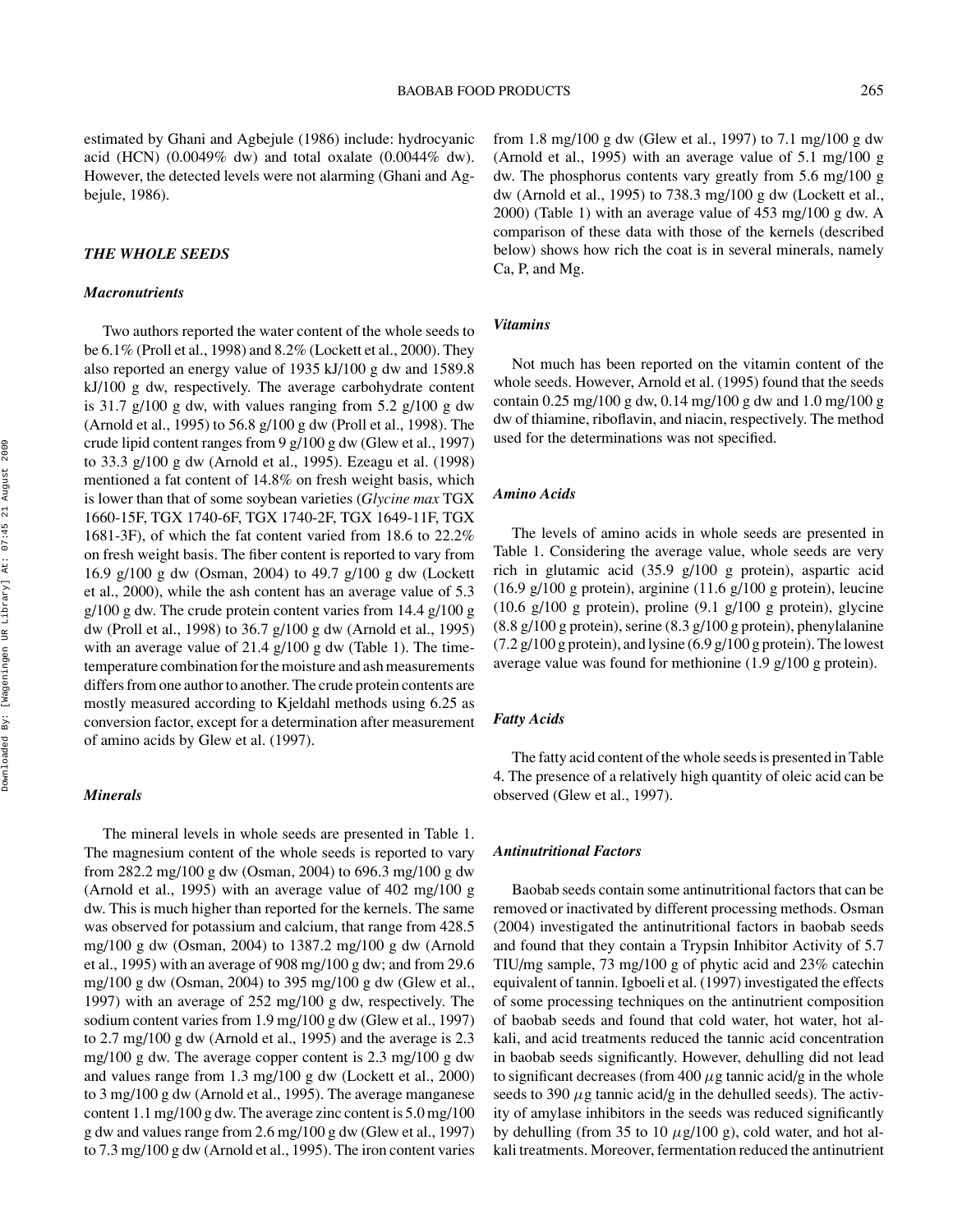estimated by Ghani and Agbejule (1986) include: hydrocyanic acid (HCN)  $(0.0049\% \text{ dw})$  and total oxalate  $(0.0044\% \text{ dw})$ . However, the detected levels were not alarming (Ghani and Agbejule, 1986).

## *THE WHOLE SEEDS*

#### *Macronutrients*

Two authors reported the water content of the whole seeds to be 6.1% (Proll et al., 1998) and 8.2% (Lockett et al., 2000). They also reported an energy value of 1935 kJ/100 g dw and 1589.8 kJ/100 g dw, respectively. The average carbohydrate content is 31.7 g/100 g dw, with values ranging from  $5.2$  g/100 g dw (Arnold et al., 1995) to 56.8 g/100 g dw (Proll et al., 1998). The crude lipid content ranges from 9 g/100 g dw (Glew et al., 1997) to 33.3 g/100 g dw (Arnold et al., 1995). Ezeagu et al. (1998) mentioned a fat content of 14.8% on fresh weight basis, which is lower than that of some soybean varieties (*Glycine max* TGX 1660-15F, TGX 1740-6F, TGX 1740-2F, TGX 1649-11F, TGX 1681-3F), of which the fat content varied from 18.6 to 22.2% on fresh weight basis. The fiber content is reported to vary from 16.9 g/100 g dw (Osman, 2004) to 49.7 g/100 g dw (Lockett et al., 2000), while the ash content has an average value of 5.3  $g/100$  g dw. The crude protein content varies from 14.4 g/100 g dw (Proll et al., 1998) to 36.7 g/100 g dw (Arnold et al., 1995) with an average value of 21.4 g/100 g dw (Table 1). The timetemperature combination for the moisture and ash measurements differs from one author to another. The crude protein contents are mostly measured according to Kjeldahl methods using 6.25 as conversion factor, except for a determination after measurement of amino acids by Glew et al. (1997).

#### *Minerals*

The mineral levels in whole seeds are presented in Table 1. The magnesium content of the whole seeds is reported to vary from 282.2 mg/100 g dw (Osman, 2004) to 696.3 mg/100 g dw (Arnold et al., 1995) with an average value of 402 mg/100 g dw. This is much higher than reported for the kernels. The same was observed for potassium and calcium, that range from  $428.5$ mg/100 g dw (Osman, 2004) to 1387.2 mg/100 g dw (Arnold et al., 1995) with an average of 908 mg/100 g dw; and from 29.6 mg/100 g dw (Osman, 2004) to 395 mg/100 g dw (Glew et al., 1997) with an average of 252 mg/100 g dw, respectively. The sodium content varies from 1.9 mg/100 g dw (Glew et al., 1997) to 2.7 mg/100 g dw (Arnold et al., 1995) and the average is 2.3 mg/100 g dw. The average copper content is 2.3 mg/100 g dw and values range from 1.3 mg/100 g dw (Lockett et al., 2000) to 3 mg/100 g dw (Arnold et al., 1995). The average manganese content 1.1 mg/100 g dw. The average zinc content is 5.0 mg/100 g dw and values range from 2.6 mg/100 g dw (Glew et al., 1997) to 7.3 mg/100 g dw (Arnold et al., 1995). The iron content varies

from 1.8 mg/100 g dw (Glew et al., 1997) to 7.1 mg/100 g dw (Arnold et al., 1995) with an average value of 5.1 mg/100 g dw. The phosphorus contents vary greatly from 5.6 mg/100 g dw (Arnold et al., 1995) to 738.3 mg/100 g dw (Lockett et al., 2000) (Table 1) with an average value of 453 mg/100 g dw. A comparison of these data with those of the kernels (described below) shows how rich the coat is in several minerals, namely Ca, P, and Mg.

## *Vitamins*

Not much has been reported on the vitamin content of the whole seeds. However, Arnold et al. (1995) found that the seeds contain 0.25 mg/100 g dw, 0.14 mg/100 g dw and 1.0 mg/100 g dw of thiamine, riboflavin, and niacin, respectively. The method used for the determinations was not specified.

## *Amino Acids*

The levels of amino acids in whole seeds are presented in Table 1. Considering the average value, whole seeds are very rich in glutamic acid (35.9 g/100 g protein), aspartic acid (16.9 g/100 g protein), arginine (11.6 g/100 g protein), leucine (10.6 g/100 g protein), proline (9.1 g/100 g protein), glycine (8.8 g/100 g protein), serine (8.3 g/100 g protein), phenylalanine  $(7.2 \text{ g}/100 \text{ g} \text{ protein})$ , and lysine  $(6.9 \text{ g}/100 \text{ g} \text{ protein})$ . The lowest average value was found for methionine (1.9 g/100 g protein).

#### *Fatty Acids*

The fatty acid content of the whole seeds is presented in Table 4. The presence of a relatively high quantity of oleic acid can be observed (Glew et al., 1997).

## *Antinutritional Factors*

Baobab seeds contain some antinutritional factors that can be removed or inactivated by different processing methods. Osman (2004) investigated the antinutritional factors in baobab seeds and found that they contain a Trypsin Inhibitor Activity of 5.7 TIU/mg sample, 73 mg/100 g of phytic acid and 23% catechin equivalent of tannin. Igboeli et al. (1997) investigated the effects of some processing techniques on the antinutrient composition of baobab seeds and found that cold water, hot water, hot alkali, and acid treatments reduced the tannic acid concentration in baobab seeds significantly. However, dehulling did not lead to significant decreases (from 400  $\mu$ g tannic acid/g in the whole seeds to 390  $\mu$ g tannic acid/g in the dehulled seeds). The activity of amylase inhibitors in the seeds was reduced significantly by dehulling (from 35 to 10  $\mu$ g/100 g), cold water, and hot alkali treatments. Moreover, fermentation reduced the antinutrient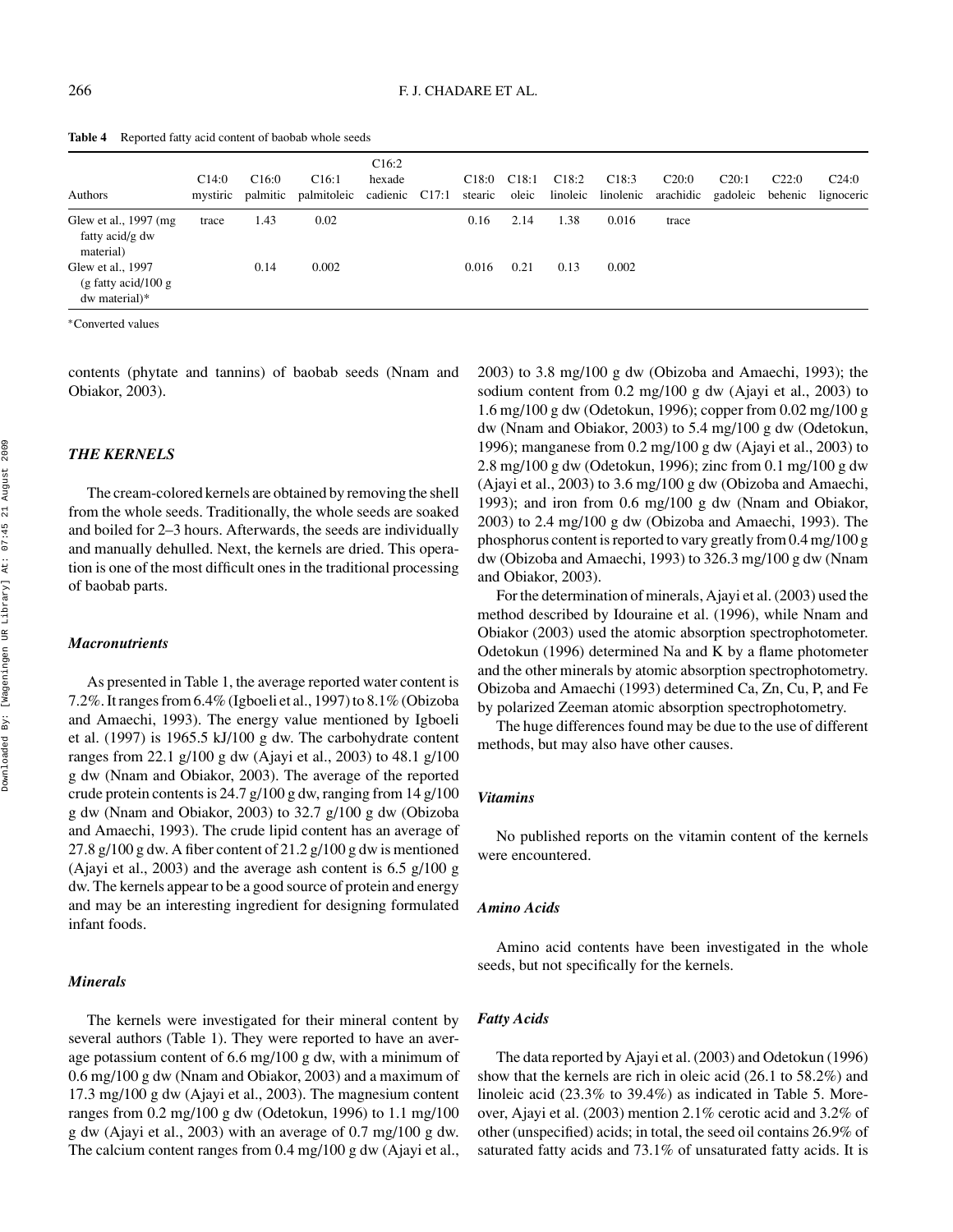**Table 4** Reported fatty acid content of baobab whole seeds

| Authors                                                   | C14:0<br>mystiric | C16:0<br>palmitic | C16:1<br>palmitoleic | C16:2<br>hexade<br>cadienic | C17:1 | C <sub>18:0</sub><br>stearic | C18:1 | C18:2<br>oleic linoleic | C18:3<br>linolenic | C20:0<br>arachidic gadoleic behenic lignoceric | C20:1 | C22:0 | C24:0 |
|-----------------------------------------------------------|-------------------|-------------------|----------------------|-----------------------------|-------|------------------------------|-------|-------------------------|--------------------|------------------------------------------------|-------|-------|-------|
| Glew et al., 1997 (mg)<br>fatty acid/g dw<br>material)    | trace             | 1.43              | 0.02                 |                             |       | 0.16                         | 2.14  | 1.38                    | 0.016              | trace                                          |       |       |       |
| Glew et al., 1997<br>(g fatty acid/100 g<br>dw material)* |                   | 0.14              | 0.002                |                             |       | 0.016                        | 0.21  | 0.13                    | 0.002              |                                                |       |       |       |

∗Converted values

contents (phytate and tannins) of baobab seeds (Nnam and Obiakor, 2003).

#### *THE KERNELS*

The cream-colored kernels are obtained by removing the shell from the whole seeds. Traditionally, the whole seeds are soaked and boiled for 2–3 hours. Afterwards, the seeds are individually and manually dehulled. Next, the kernels are dried. This operation is one of the most difficult ones in the traditional processing of baobab parts.

#### *Macronutrients*

As presented in Table 1, the average reported water content is 7.2%. It ranges from 6.4% (Igboeli et al., 1997) to 8.1% (Obizoba and Amaechi, 1993). The energy value mentioned by Igboeli et al. (1997) is 1965.5 kJ/100 g dw. The carbohydrate content ranges from 22.1 g/100 g dw (Ajayi et al., 2003) to 48.1 g/100 g dw (Nnam and Obiakor, 2003). The average of the reported crude protein contents is 24.7 g/100 g dw, ranging from 14 g/100 g dw (Nnam and Obiakor, 2003) to 32.7 g/100 g dw (Obizoba and Amaechi, 1993). The crude lipid content has an average of 27.8 g/100 g dw. A fiber content of 21.2 g/100 g dw is mentioned (Ajayi et al., 2003) and the average ash content is 6.5 g/100 g dw. The kernels appear to be a good source of protein and energy and may be an interesting ingredient for designing formulated infant foods.

## *Minerals*

The kernels were investigated for their mineral content by several authors (Table 1). They were reported to have an average potassium content of 6.6 mg/100 g dw, with a minimum of 0.6 mg/100 g dw (Nnam and Obiakor, 2003) and a maximum of 17.3 mg/100 g dw (Ajayi et al., 2003). The magnesium content ranges from 0.2 mg/100 g dw (Odetokun, 1996) to 1.1 mg/100 g dw (Ajayi et al., 2003) with an average of 0.7 mg/100 g dw. The calcium content ranges from 0.4 mg/100 g dw (Ajayi et al.,

2003) to 3.8 mg/100 g dw (Obizoba and Amaechi, 1993); the sodium content from 0.2 mg/100 g dw (Ajayi et al., 2003) to 1.6 mg/100 g dw (Odetokun, 1996); copper from 0.02 mg/100 g dw (Nnam and Obiakor, 2003) to 5.4 mg/100 g dw (Odetokun, 1996); manganese from 0.2 mg/100 g dw (Ajayi et al., 2003) to 2.8 mg/100 g dw (Odetokun, 1996); zinc from 0.1 mg/100 g dw (Ajayi et al., 2003) to 3.6 mg/100 g dw (Obizoba and Amaechi, 1993); and iron from 0.6 mg/100 g dw (Nnam and Obiakor, 2003) to 2.4 mg/100 g dw (Obizoba and Amaechi, 1993). The phosphorus content is reported to vary greatly from 0.4 mg/100 g dw (Obizoba and Amaechi, 1993) to 326.3 mg/100 g dw (Nnam and Obiakor, 2003).

For the determination of minerals, Ajayi et al. (2003) used the method described by Idouraine et al. (1996), while Nnam and Obiakor (2003) used the atomic absorption spectrophotometer. Odetokun (1996) determined Na and K by a flame photometer and the other minerals by atomic absorption spectrophotometry. Obizoba and Amaechi (1993) determined Ca, Zn, Cu, P, and Fe by polarized Zeeman atomic absorption spectrophotometry.

The huge differences found may be due to the use of different methods, but may also have other causes.

#### *Vitamins*

No published reports on the vitamin content of the kernels were encountered.

#### *Amino Acids*

Amino acid contents have been investigated in the whole seeds, but not specifically for the kernels.

## *Fatty Acids*

The data reported by Ajayi et al. (2003) and Odetokun (1996) show that the kernels are rich in oleic acid (26.1 to 58.2%) and linoleic acid (23.3% to 39.4%) as indicated in Table 5. Moreover, Ajayi et al. (2003) mention 2.1% cerotic acid and 3.2% of other (unspecified) acids; in total, the seed oil contains 26.9% of saturated fatty acids and 73.1% of unsaturated fatty acids. It is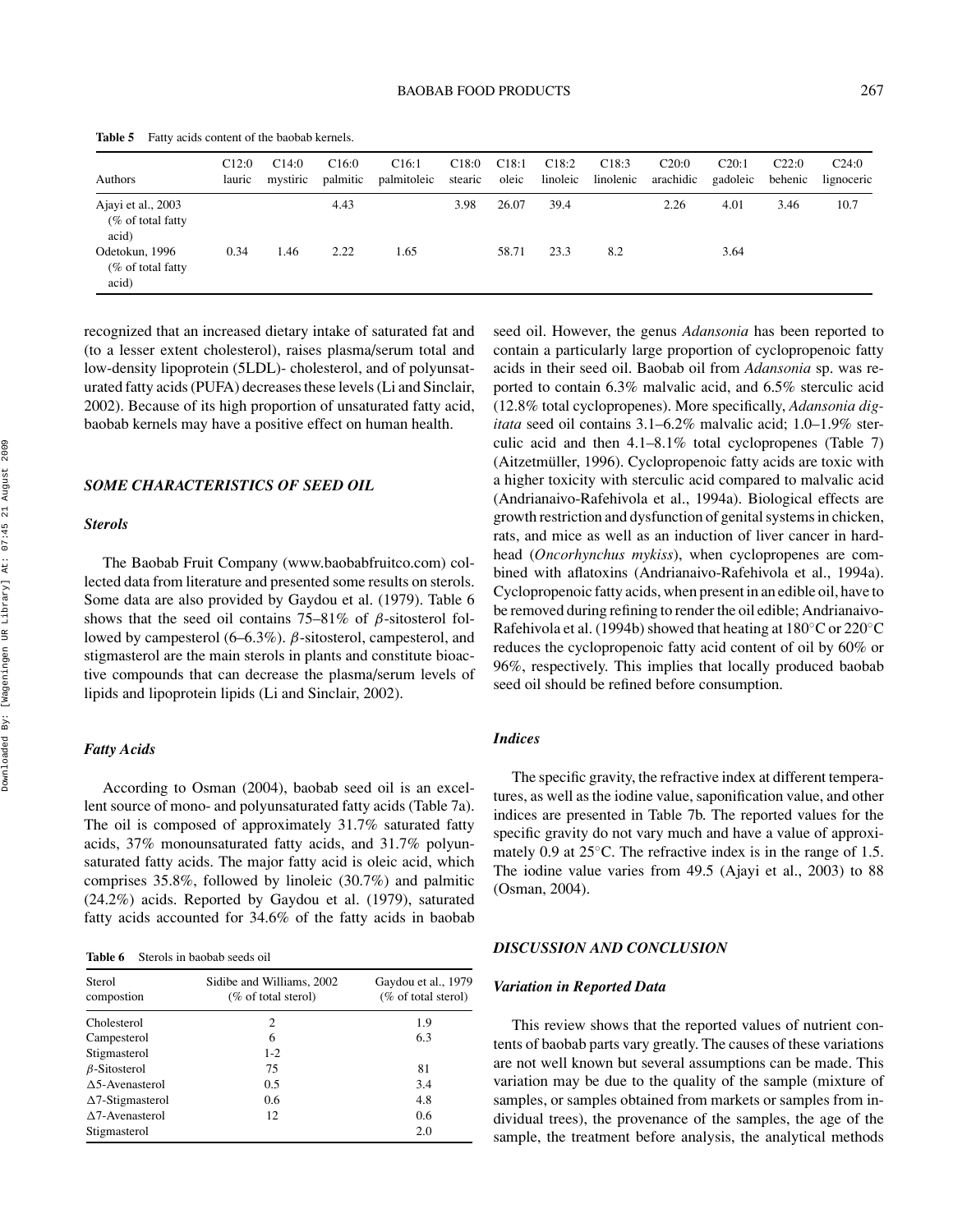**Table 5** Fatty acids content of the baobab kernels.

| Authors                                           | C12:0<br>lauric | C14:0<br>mystiric | C16:0<br>palmitic | C16:1<br>palmitoleic | C18:0<br>stearic | C18:1<br>oleic | C18:2<br>linoleic | C18:3<br>linolenic | C20:0<br>arachidic | C20:1<br>gadoleic | C22:0<br>behenic | C24:0<br>lignoceric |
|---------------------------------------------------|-----------------|-------------------|-------------------|----------------------|------------------|----------------|-------------------|--------------------|--------------------|-------------------|------------------|---------------------|
| Ajayi et al., 2003<br>(% of total fatty)<br>acid) |                 |                   | 4.43              |                      | 3.98             | 26.07          | 39.4              |                    | 2.26               | 4.01              | 3.46             | 10.7                |
| Odetokun, 1996<br>(% of total fatty)<br>acid)     | 0.34            | 1.46              | 2.22              | 1.65                 |                  | 58.71          | 23.3              | 8.2                |                    | 3.64              |                  |                     |

recognized that an increased dietary intake of saturated fat and (to a lesser extent cholesterol), raises plasma/serum total and low-density lipoprotein (5LDL)- cholesterol, and of polyunsaturated fatty acids (PUFA) decreases these levels (Li and Sinclair, 2002). Because of its high proportion of unsaturated fatty acid, baobab kernels may have a positive effect on human health.

## *SOME CHARACTERISTICS OF SEED OIL*

#### *Sterols*

The Baobab Fruit Company (www.baobabfruitco.com) collected data from literature and presented some results on sterols. Some data are also provided by Gaydou et al. (1979). Table 6 shows that the seed oil contains 75–81% of  $\beta$ -sitosterol followed by campesterol  $(6-6.3%)$ . β-sitosterol, campesterol, and stigmasterol are the main sterols in plants and constitute bioactive compounds that can decrease the plasma/serum levels of lipids and lipoprotein lipids (Li and Sinclair, 2002).

#### *Fatty Acids*

According to Osman (2004), baobab seed oil is an excellent source of mono- and polyunsaturated fatty acids (Table 7a). The oil is composed of approximately 31.7% saturated fatty acids, 37% monounsaturated fatty acids, and 31.7% polyunsaturated fatty acids. The major fatty acid is oleic acid, which comprises 35.8%, followed by linoleic (30.7%) and palmitic (24.2%) acids. Reported by Gaydou et al. (1979), saturated fatty acids accounted for 34.6% of the fatty acids in baobab

**Table 6** Sterols in baobab seeds oil

| Sterol<br>compostion    | Sidibe and Williams, 2002<br>(% of total sterol) | Gaydou et al., 1979<br>(% of total sterol) |
|-------------------------|--------------------------------------------------|--------------------------------------------|
| Cholesterol             | 2                                                | 1.9                                        |
| Campesterol             | 6                                                | 6.3                                        |
| Stigmasterol            | $1 - 2$                                          |                                            |
| $\beta$ -Sitosterol     | 75                                               | 81                                         |
| $\Delta$ 5-Avenasterol  | 0.5                                              | 3.4                                        |
| $\Delta$ 7-Stigmasterol | 0.6                                              | 4.8                                        |
| $\Delta$ 7-Avenasterol  | 12                                               | 0.6                                        |
| Stigmasterol            |                                                  | 2.0                                        |

seed oil. However, the genus *Adansonia* has been reported to contain a particularly large proportion of cyclopropenoic fatty acids in their seed oil. Baobab oil from *Adansonia* sp. was reported to contain 6.3% malvalic acid, and 6.5% sterculic acid (12.8% total cyclopropenes). More specifically, *Adansonia digitata* seed oil contains 3.1–6.2% malvalic acid; 1.0–1.9% sterculic acid and then 4.1–8.1% total cyclopropenes (Table 7) (Aitzetmüller, 1996). Cyclopropenoic fatty acids are toxic with a higher toxicity with sterculic acid compared to malvalic acid (Andrianaivo-Rafehivola et al., 1994a). Biological effects are growth restriction and dysfunction of genital systems in chicken, rats, and mice as well as an induction of liver cancer in hardhead (*Oncorhynchus mykiss*), when cyclopropenes are combined with aflatoxins (Andrianaivo-Rafehivola et al., 1994a). Cyclopropenoic fatty acids, when present in an edible oil, have to be removed during refining to render the oil edible; Andrianaivo-Rafehivola et al. (1994b) showed that heating at 180◦C or 220◦C reduces the cyclopropenoic fatty acid content of oil by 60% or 96%, respectively. This implies that locally produced baobab seed oil should be refined before consumption.

## *Indices*

The specific gravity, the refractive index at different temperatures, as well as the iodine value, saponification value, and other indices are presented in Table 7b. The reported values for the specific gravity do not vary much and have a value of approximately 0.9 at 25◦C. The refractive index is in the range of 1.5. The iodine value varies from 49.5 (Ajayi et al., 2003) to 88 (Osman, 2004).

## *DISCUSSION AND CONCLUSION*

#### *Variation in Reported Data*

This review shows that the reported values of nutrient contents of baobab parts vary greatly. The causes of these variations are not well known but several assumptions can be made. This variation may be due to the quality of the sample (mixture of samples, or samples obtained from markets or samples from individual trees), the provenance of the samples, the age of the sample, the treatment before analysis, the analytical methods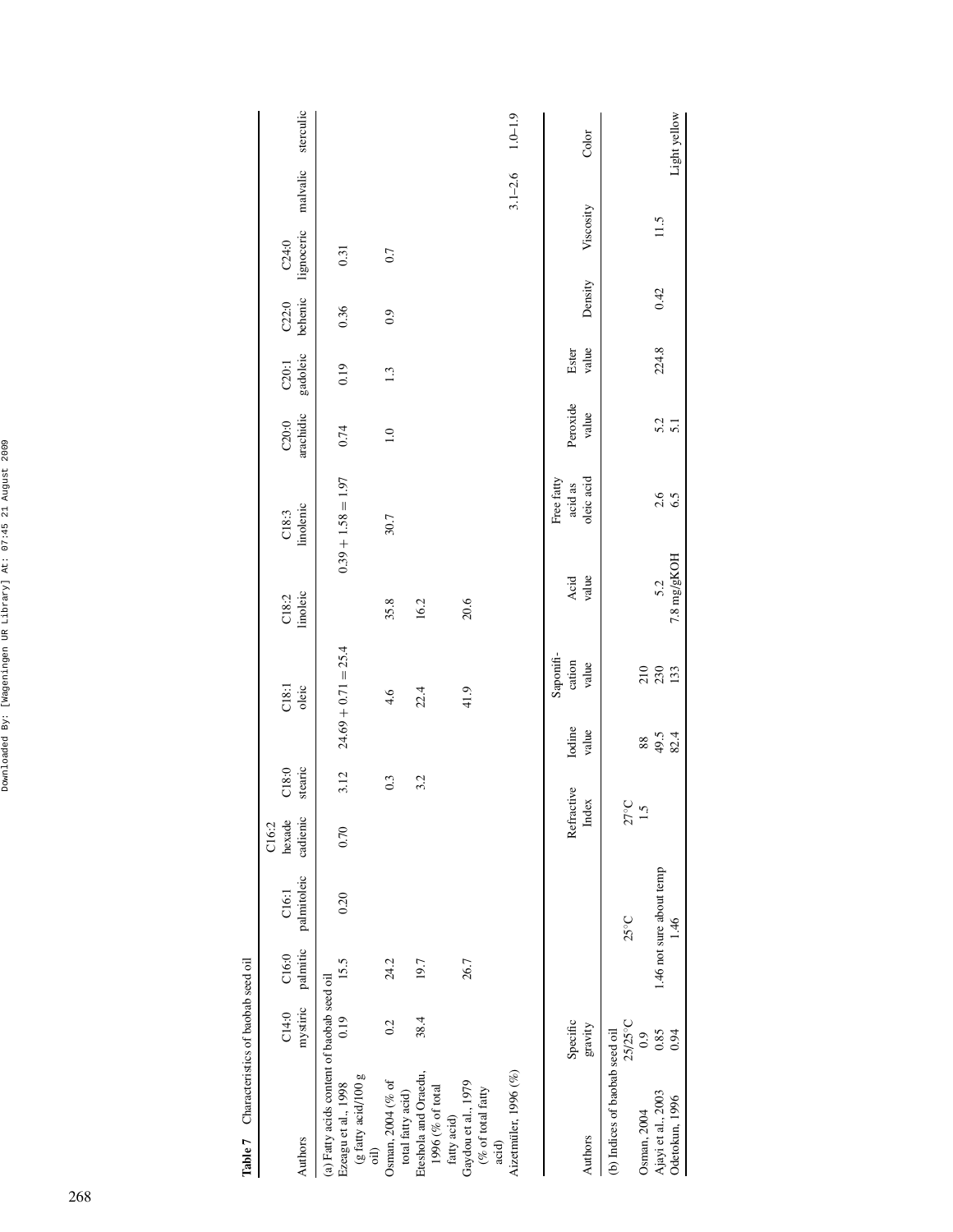| Table 7 Characteristics of baobab seed oil                                                                |                     |          |                                            |                     |         |                                                 |                    |                                     |                   |                |         |            |          |                         |
|-----------------------------------------------------------------------------------------------------------|---------------------|----------|--------------------------------------------|---------------------|---------|-------------------------------------------------|--------------------|-------------------------------------|-------------------|----------------|---------|------------|----------|-------------------------|
|                                                                                                           | C14:0               | C16:0    | C16:1                                      | hexade<br>C16:2     | C18:0   | C18:1                                           | C18:2              | C18:3                               | C20:0             | C20:1          | C22:0   | C24:0      |          |                         |
| Authors                                                                                                   | mystiric            | palmitic | palmitoleic                                | cadienic            | stearic | oleic                                           | linoleic           | linolenic                           | arachidic         | gadoleic       | behenic | lignoceric | malvalic | sterculic               |
| (a) Fatty acids content of baobab seed oil<br>(g fatty acid/100 g<br>Ezeagu et al., 1998<br>$\widehat{a}$ | 0.19                | 15.5     | 0.20                                       | 0.70                | 3.12    | $24.69 + 0.71 = 25.4$                           |                    | $0.39 + 1.58 = 1.97$                | 0.74              | 0.19           | 0.36    | 0.31       |          |                         |
| Osman, 2004 $(\%$ of<br>total fatty acid)                                                                 | 0.2                 | 24.2     |                                            |                     | 0.3     | 4.6                                             | 35.8               | 30.7                                | 1.0               | 1.3            | 0.9     | 0.7        |          |                         |
| Eteshola and Oraedu,<br>1996 (% of total<br>fatty acid)                                                   | 38.4                | 19.7     |                                            |                     | 3.2     | 22.4                                            | 16.2               |                                     |                   |                |         |            |          |                         |
| Gaydou et al., 1979<br>$\%$ of total fatty                                                                |                     | 26.7     |                                            |                     |         | 41.9                                            | 20.6               |                                     |                   |                |         |            |          |                         |
| Aizetmüler, 1996 (%)<br>acid)                                                                             |                     |          |                                            |                     |         |                                                 |                    |                                     |                   |                |         |            |          | $3.1 - 2.6$ $1.0 - 1.9$ |
| Authors                                                                                                   | Specific<br>gravity |          |                                            | Refractive<br>Index |         | Saponifi-<br>cation<br>value<br>Iodine<br>value | value<br>Acid      | oleic acid<br>Free fatty<br>acid as | Peroxide<br>value | Ester<br>value | Density | Viscosity  |          | Color                   |
| (b) Indices of baobab seed oil                                                                            | $25/25$ °C          |          | $25^{\circ}$ C                             | $27^{\circ}$ C      |         |                                                 |                    |                                     |                   |                |         |            |          |                         |
| Ajayi et al., 2003<br>Odetokun, 1996<br>Osman, 2004                                                       | 0.85<br>0.94<br>0.9 |          | 1.46 not sure about temp<br>$\frac{46}{5}$ | 1.5                 |         | 210<br>230<br>133<br>49.5<br>82.4<br>88         | 7.8 mg/gKOH<br>5.2 | 2.6<br>6.5                          | 5.2<br>5.1        | 224.8          | 0.42    | 11.5       |          | Light yellow            |

Downloaded By: [Wageningen UR Library] At: 07:45 21 August 2009 Downloaded By: [Wageningen UR Library] At: 07:45 21 August 2009

268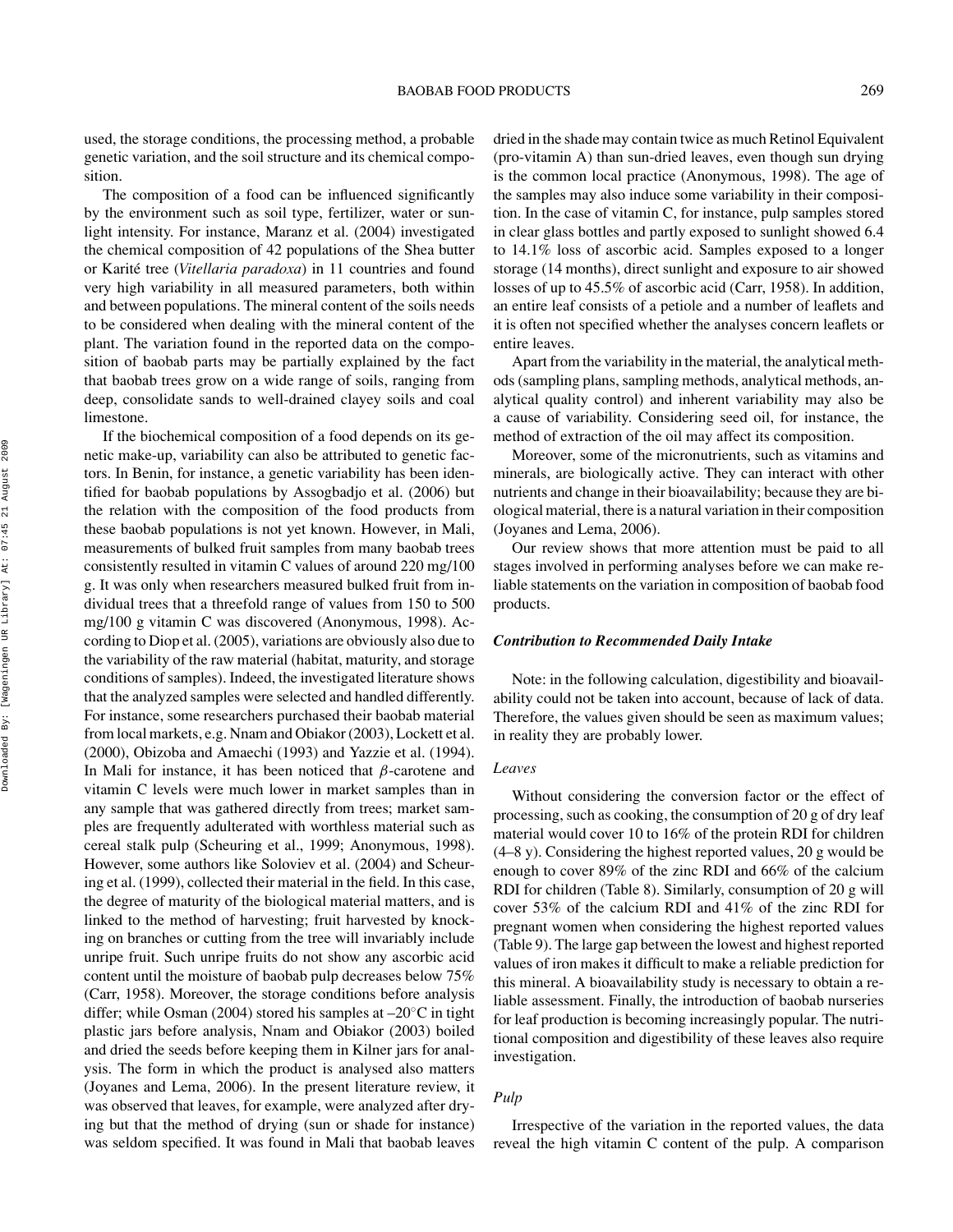used, the storage conditions, the processing method, a probable genetic variation, and the soil structure and its chemical composition.

The composition of a food can be influenced significantly by the environment such as soil type, fertilizer, water or sunlight intensity. For instance, Maranz et al. (2004) investigated the chemical composition of 42 populations of the Shea butter or Karité tree (*Vitellaria paradoxa*) in 11 countries and found very high variability in all measured parameters, both within and between populations. The mineral content of the soils needs to be considered when dealing with the mineral content of the plant. The variation found in the reported data on the composition of baobab parts may be partially explained by the fact that baobab trees grow on a wide range of soils, ranging from deep, consolidate sands to well-drained clayey soils and coal limestone.

If the biochemical composition of a food depends on its genetic make-up, variability can also be attributed to genetic factors. In Benin, for instance, a genetic variability has been identified for baobab populations by Assogbadjo et al. (2006) but the relation with the composition of the food products from these baobab populations is not yet known. However, in Mali, measurements of bulked fruit samples from many baobab trees consistently resulted in vitamin C values of around 220 mg/100 g. It was only when researchers measured bulked fruit from individual trees that a threefold range of values from 150 to 500 mg/100 g vitamin C was discovered (Anonymous, 1998). According to Diop et al. (2005), variations are obviously also due to the variability of the raw material (habitat, maturity, and storage conditions of samples). Indeed, the investigated literature shows that the analyzed samples were selected and handled differently. For instance, some researchers purchased their baobab material from local markets, e.g. Nnam and Obiakor (2003), Lockett et al. (2000), Obizoba and Amaechi (1993) and Yazzie et al. (1994). In Mali for instance, it has been noticed that  $\beta$ -carotene and vitamin C levels were much lower in market samples than in any sample that was gathered directly from trees; market samples are frequently adulterated with worthless material such as cereal stalk pulp (Scheuring et al., 1999; Anonymous, 1998). However, some authors like Soloviev et al. (2004) and Scheuring et al. (1999), collected their material in the field. In this case, the degree of maturity of the biological material matters, and is linked to the method of harvesting; fruit harvested by knocking on branches or cutting from the tree will invariably include unripe fruit. Such unripe fruits do not show any ascorbic acid content until the moisture of baobab pulp decreases below 75% (Carr, 1958). Moreover, the storage conditions before analysis differ; while Osman (2004) stored his samples at  $-20^{\circ}$ C in tight plastic jars before analysis, Nnam and Obiakor (2003) boiled and dried the seeds before keeping them in Kilner jars for analysis. The form in which the product is analysed also matters (Joyanes and Lema, 2006). In the present literature review, it was observed that leaves, for example, were analyzed after drying but that the method of drying (sun or shade for instance) was seldom specified. It was found in Mali that baobab leaves

dried in the shade may contain twice as much Retinol Equivalent (pro-vitamin A) than sun-dried leaves, even though sun drying is the common local practice (Anonymous, 1998). The age of the samples may also induce some variability in their composition. In the case of vitamin C, for instance, pulp samples stored in clear glass bottles and partly exposed to sunlight showed 6.4 to 14.1% loss of ascorbic acid. Samples exposed to a longer storage (14 months), direct sunlight and exposure to air showed losses of up to 45.5% of ascorbic acid (Carr, 1958). In addition, an entire leaf consists of a petiole and a number of leaflets and it is often not specified whether the analyses concern leaflets or entire leaves.

Apart from the variability in the material, the analytical methods (sampling plans, sampling methods, analytical methods, analytical quality control) and inherent variability may also be a cause of variability. Considering seed oil, for instance, the method of extraction of the oil may affect its composition.

Moreover, some of the micronutrients, such as vitamins and minerals, are biologically active. They can interact with other nutrients and change in their bioavailability; because they are biological material, there is a natural variation in their composition (Joyanes and Lema, 2006).

Our review shows that more attention must be paid to all stages involved in performing analyses before we can make reliable statements on the variation in composition of baobab food products.

#### *Contribution to Recommended Daily Intake*

Note: in the following calculation, digestibility and bioavailability could not be taken into account, because of lack of data. Therefore, the values given should be seen as maximum values; in reality they are probably lower.

## *Leaves*

Without considering the conversion factor or the effect of processing, such as cooking, the consumption of 20 g of dry leaf material would cover 10 to 16% of the protein RDI for children (4–8 y). Considering the highest reported values, 20 g would be enough to cover 89% of the zinc RDI and 66% of the calcium RDI for children (Table 8). Similarly, consumption of 20 g will cover 53% of the calcium RDI and 41% of the zinc RDI for pregnant women when considering the highest reported values (Table 9). The large gap between the lowest and highest reported values of iron makes it difficult to make a reliable prediction for this mineral. A bioavailability study is necessary to obtain a reliable assessment. Finally, the introduction of baobab nurseries for leaf production is becoming increasingly popular. The nutritional composition and digestibility of these leaves also require investigation.

## *Pulp*

Irrespective of the variation in the reported values, the data reveal the high vitamin C content of the pulp. A comparison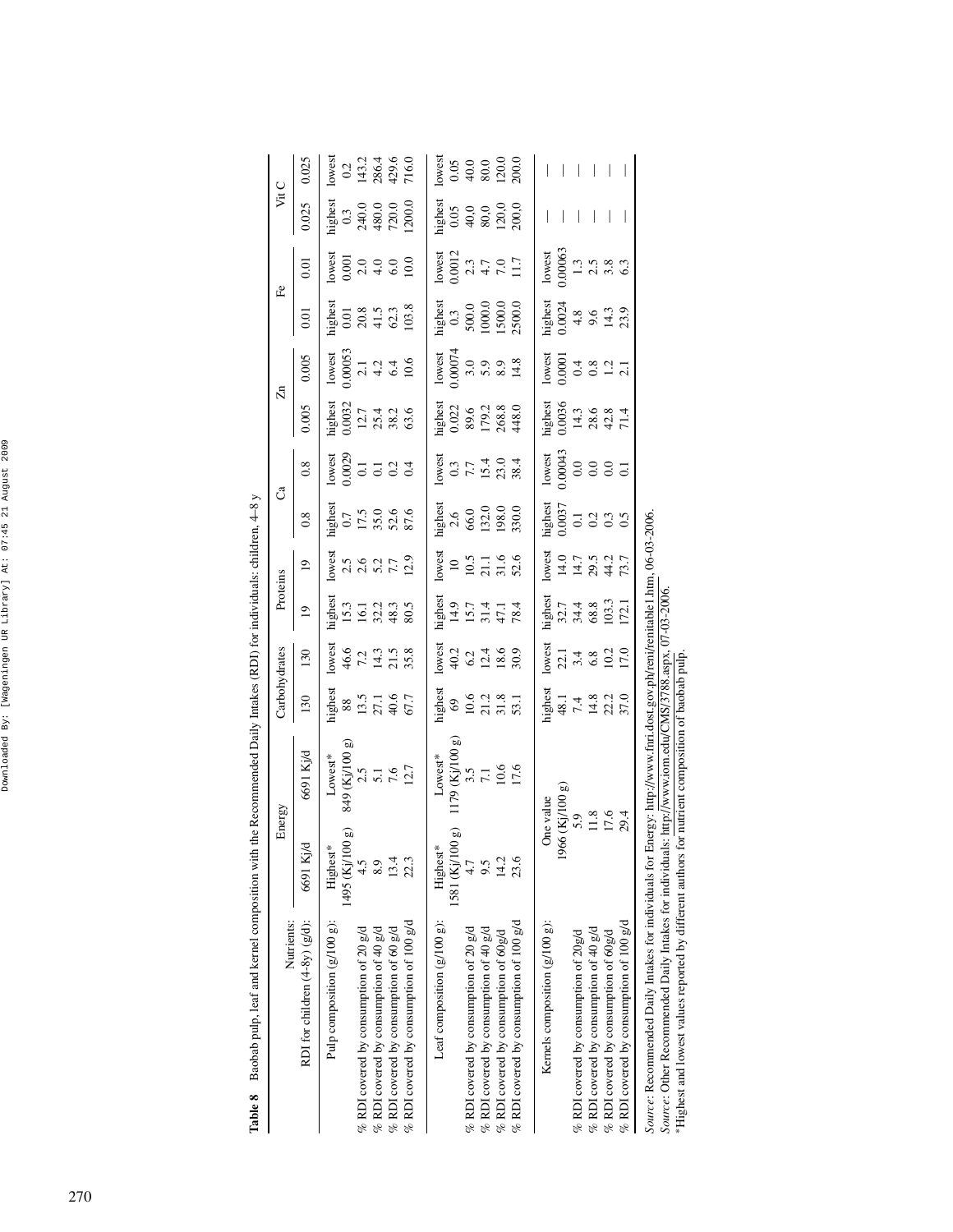| Baobab pulp, leaf and kernel composition with<br>Table 8                                                                                                                                                                           |                                         | the Recommended Daily Intakes (RDI) for individuals: children, $4-8$ y |                                            |                                               |                                       |                                                                          |                                          |                                    |                                            |                                                                                                               |                                                                              |                                                                                     |                                                                                                                                                                                                                           |                                                     |
|------------------------------------------------------------------------------------------------------------------------------------------------------------------------------------------------------------------------------------|-----------------------------------------|------------------------------------------------------------------------|--------------------------------------------|-----------------------------------------------|---------------------------------------|--------------------------------------------------------------------------|------------------------------------------|------------------------------------|--------------------------------------------|---------------------------------------------------------------------------------------------------------------|------------------------------------------------------------------------------|-------------------------------------------------------------------------------------|---------------------------------------------------------------------------------------------------------------------------------------------------------------------------------------------------------------------------|-----------------------------------------------------|
| Nutrients:                                                                                                                                                                                                                         |                                         | Energy                                                                 | Carbohydrates                              |                                               | Proteins                              |                                                                          |                                          | ී                                  | $\overline{z}$                             |                                                                                                               | $\mathbb{E}$                                                                 |                                                                                     | Vit C                                                                                                                                                                                                                     |                                                     |
| RDI for children $(4-8y)$ ( $g/d$ ):                                                                                                                                                                                               | 6691 Kj/d                               | 6691 Kj/d                                                              | 130                                        | 130                                           | $\overline{0}$                        | $\overline{19}$                                                          | 0.8                                      | 0.8                                | 0.005                                      | 0.005                                                                                                         | 0.01                                                                         | 0.01                                                                                | 0.025                                                                                                                                                                                                                     | 0.025                                               |
| Pulp composition (g/100 g):                                                                                                                                                                                                        | 1495 (Kj/100 g)<br>Highest <sup>*</sup> | 849 (Kj/100 g)<br>Lowest*                                              | highest                                    | lowest<br>46.6<br>7.2<br>14.3<br>21.5<br>35.8 | highest                               | lowest<br>$2.5$<br>$2.6$                                                 | highest                                  | lowest<br>0.0029                   | highest<br>0.0032<br>12.7<br>25.3<br>38.5  | lowest<br>0.00053<br>2.1<br>4.2<br>6.4<br>6.6<br>10.6                                                         | highest                                                                      | $\frac{1}{2}$<br>$\frac{0.001}{2.0}$<br>$\frac{0.001}{4.0}$<br>$\frac{0.001}{10.0}$ | $\frac{1}{2}$<br>$\frac{1}{2}$<br>$\frac{3}{2}$<br>$\frac{4}{2}$<br>$\frac{3}{2}$<br>$\frac{3}{2}$<br>$\frac{3}{2}$<br>$\frac{3}{2}$<br>$\frac{3}{2}$<br>$\frac{3}{2}$<br>$\frac{3}{2}$<br>$\frac{3}{2}$<br>$\frac{3}{2}$ | lowest<br>0.2<br>143.2<br>143.4<br>429.6<br>716.0   |
| % RDI covered by consumption of 20 g/d                                                                                                                                                                                             | 4.5                                     |                                                                        | 88<br>13.5<br>17.1<br>67.7                 |                                               | 151335                                |                                                                          | 0.7<br>17.5<br>52.6<br>57.6              | $-1.34$                            |                                            |                                                                                                               | $\begin{array}{c} 0.01 \\ 20.8 \\ 41.5 \\ 62.3 \\ 103.8 \end{array}$         |                                                                                     |                                                                                                                                                                                                                           |                                                     |
| $%$ RDI covered by consumption of 40 $g/d$                                                                                                                                                                                         |                                         | $\frac{2.5}{5.1}$                                                      |                                            |                                               |                                       | $\frac{5.2}{7.7}$                                                        |                                          |                                    |                                            |                                                                                                               |                                                                              |                                                                                     |                                                                                                                                                                                                                           |                                                     |
| % RDI covered by consumption of 60 g/d                                                                                                                                                                                             | 13.4                                    | $7.6$<br>12.7                                                          |                                            |                                               |                                       |                                                                          |                                          |                                    |                                            |                                                                                                               |                                                                              |                                                                                     |                                                                                                                                                                                                                           |                                                     |
| % RDI covered by consumption of 100 $g/d$                                                                                                                                                                                          | 22.3                                    |                                                                        |                                            |                                               |                                       |                                                                          |                                          |                                    |                                            |                                                                                                               |                                                                              |                                                                                     |                                                                                                                                                                                                                           |                                                     |
| Leaf composition (g/100 g):                                                                                                                                                                                                        | Highest <sup>3</sup>                    | Lowest*                                                                | highest                                    | lowest<br>40.2<br>6.2<br>12.4<br>18.6<br>30.9 | highest                               | lowest                                                                   | highest<br>2.6<br>66.0<br>132.0<br>198.0 | lowest                             | highest<br>0.022<br>89.6<br>179.2<br>268.8 | $\frac{1}{2}$<br>$\frac{3.00074}{3.0}$<br>5.9<br>8.9                                                          | ighest                                                                       | lowest<br>0.0012<br>2.3<br>4.7<br>7.0                                               | highest<br>0.05<br>40,0<br>80,0<br>120,0<br>200,0                                                                                                                                                                         | lowes                                               |
|                                                                                                                                                                                                                                    | 1581 (Kj/100 g)                         | 1179 (Kj/100 g)                                                        |                                            |                                               |                                       |                                                                          |                                          |                                    |                                            |                                                                                                               |                                                                              |                                                                                     |                                                                                                                                                                                                                           |                                                     |
| $%$ RDI covered by consumption of 20 g/d                                                                                                                                                                                           | 4.7                                     |                                                                        |                                            |                                               |                                       |                                                                          |                                          |                                    |                                            |                                                                                                               |                                                                              |                                                                                     |                                                                                                                                                                                                                           |                                                     |
| $%$ RDI covered by consumption of 40 g/d                                                                                                                                                                                           |                                         | $3.5$<br>$7.1$<br>$10.6$                                               |                                            |                                               |                                       |                                                                          |                                          | $0.3$<br>$7.7$<br>$15.4$<br>$23.0$ |                                            |                                                                                                               |                                                                              |                                                                                     |                                                                                                                                                                                                                           |                                                     |
| $%$ RDI covered by consumption of 60g/d                                                                                                                                                                                            | 14.2                                    |                                                                        | $69$<br>$0.6$<br>$21.3$<br>$3.1$<br>$3.1$  |                                               | $11772$<br>$1574$<br>$1574$<br>$1574$ | $105$<br>$11.5$<br>$15.5$<br>$5.5$                                       |                                          |                                    |                                            |                                                                                                               | $\begin{array}{c} 0.3 \\ 500.0 \\ 1000.0 \\ 1500.0 \\ 2500.0 \\ \end{array}$ |                                                                                     |                                                                                                                                                                                                                           | $0.05$<br>$0.0$<br>$0.0$<br>$0.0$<br>$0.0$<br>$0.0$ |
| % RDI covered by consumption of 100 $g/d$                                                                                                                                                                                          | 23.6                                    | 17.6                                                                   |                                            |                                               |                                       |                                                                          | 330.0                                    | 38.4                               | 448.0                                      | 14.8                                                                                                          |                                                                              | 11.7                                                                                |                                                                                                                                                                                                                           |                                                     |
| Kernels composition (g/100 g):                                                                                                                                                                                                     |                                         | One value                                                              | highest                                    | lowest                                        | highest                               | lowest                                                                   | highest                                  | lowest                             |                                            |                                                                                                               |                                                                              |                                                                                     |                                                                                                                                                                                                                           |                                                     |
|                                                                                                                                                                                                                                    |                                         | 1966 (Kj/100 g)                                                        |                                            |                                               |                                       |                                                                          | $0.0037$<br>$0.1$<br>$0.2$<br>$0.3$      | 0.00043                            | highest<br>0.0036<br>14.3<br>28.4<br>71.4  | $\begin{array}{c} 1 \text{owest} \\ 0.0001 \\ 0.3 \end{array}$<br>$\begin{array}{c} 0.001 \\ 0.3 \end{array}$ | highest<br>0.0024<br>9.6<br>14.3<br>12.9                                     | $\frac{1}{2}$ owest                                                                 |                                                                                                                                                                                                                           |                                                     |
| % RDI covered by consumption of 20g/d                                                                                                                                                                                              |                                         | 5.9                                                                    | $48.1$<br>$7.4$<br>$7.3$<br>$2.3$<br>$5.0$ | 22.1<br>3.4<br>5.2<br>17.0                    | $3.483$<br>$3.483$<br>$0.33$          | $\begin{array}{c} 0.7 \\ 4.7 \\ 1.7 \\ 0.3 \\ 0.4 \\ 0.7 \\ \end{array}$ |                                          |                                    |                                            |                                                                                                               |                                                                              | 1.3                                                                                 |                                                                                                                                                                                                                           | $\overline{\phantom{a}}$                            |
| % RDI covered by consumption of 40 $g/d$                                                                                                                                                                                           |                                         | 11.8                                                                   |                                            |                                               |                                       |                                                                          |                                          |                                    |                                            |                                                                                                               |                                                                              |                                                                                     | $\overline{\phantom{a}}$                                                                                                                                                                                                  |                                                     |
| % RDI covered by consumption of $60g/d$                                                                                                                                                                                            |                                         | 17.6                                                                   |                                            |                                               |                                       |                                                                          |                                          | 8885                               |                                            |                                                                                                               |                                                                              |                                                                                     |                                                                                                                                                                                                                           |                                                     |
| % RDI covered by consumption of 100 g/d                                                                                                                                                                                            |                                         | 29.4                                                                   |                                            |                                               | 172.1                                 |                                                                          | 0.5                                      |                                    |                                            |                                                                                                               |                                                                              | 6.3                                                                                 |                                                                                                                                                                                                                           |                                                     |
| Source: Recommended Daily Intakes for individuals for Energy: http://www.fmi.dost.gov.ph/reni/renitable1.htm, 06-03-2006<br>Source: Other Recommended Daily Intakes for individuals: http://www.iom.edu/CMS/3788.aspx, 07-03-2006. |                                         |                                                                        |                                            |                                               |                                       |                                                                          |                                          |                                    |                                            |                                                                                                               |                                                                              |                                                                                     |                                                                                                                                                                                                                           |                                                     |

∗Highest and lowest values reported by different authors for nutrient composition of baobab pulp.

| l                                                                                      |
|----------------------------------------------------------------------------------------|
|                                                                                        |
| $\frac{1}{2}$<br>֚֘֝                                                                   |
| ׅׅ֧֧֧֧֧֧֧֧֧֧֧֧֧֧֧֧֚֚֚֚֚֚֚֚֚֚֚֚֚֚֚֚֚֡֝֝֓֕֓֕֓֡֝֬֓֓֡֬֓֓֡֬֓֓֝֓֝֓֝֬֝֓֝֬֝֓֝֬֝֬֝֬֝֬֝֬֝֬֝֬֝֬֝֬ |
|                                                                                        |
|                                                                                        |
|                                                                                        |
|                                                                                        |
|                                                                                        |
|                                                                                        |
|                                                                                        |
| $\overline{\phantom{a}}$                                                               |
| j<br>l                                                                                 |
|                                                                                        |
|                                                                                        |
|                                                                                        |
| Contract and Colorador                                                                 |
|                                                                                        |
|                                                                                        |
|                                                                                        |
|                                                                                        |
|                                                                                        |
| ļ                                                                                      |
|                                                                                        |
|                                                                                        |
|                                                                                        |
|                                                                                        |
|                                                                                        |
| さんこうしょう ちょうしゃ                                                                          |
|                                                                                        |
|                                                                                        |
|                                                                                        |
|                                                                                        |
|                                                                                        |
|                                                                                        |
|                                                                                        |
| j                                                                                      |
|                                                                                        |
|                                                                                        |
|                                                                                        |
|                                                                                        |
|                                                                                        |
|                                                                                        |
|                                                                                        |
|                                                                                        |
|                                                                                        |
|                                                                                        |
|                                                                                        |
|                                                                                        |
|                                                                                        |
| į                                                                                      |
| ō                                                                                      |
| ١<br>l                                                                                 |
|                                                                                        |
| K                                                                                      |
| ĺ                                                                                      |
| Table                                                                                  |
|                                                                                        |
|                                                                                        |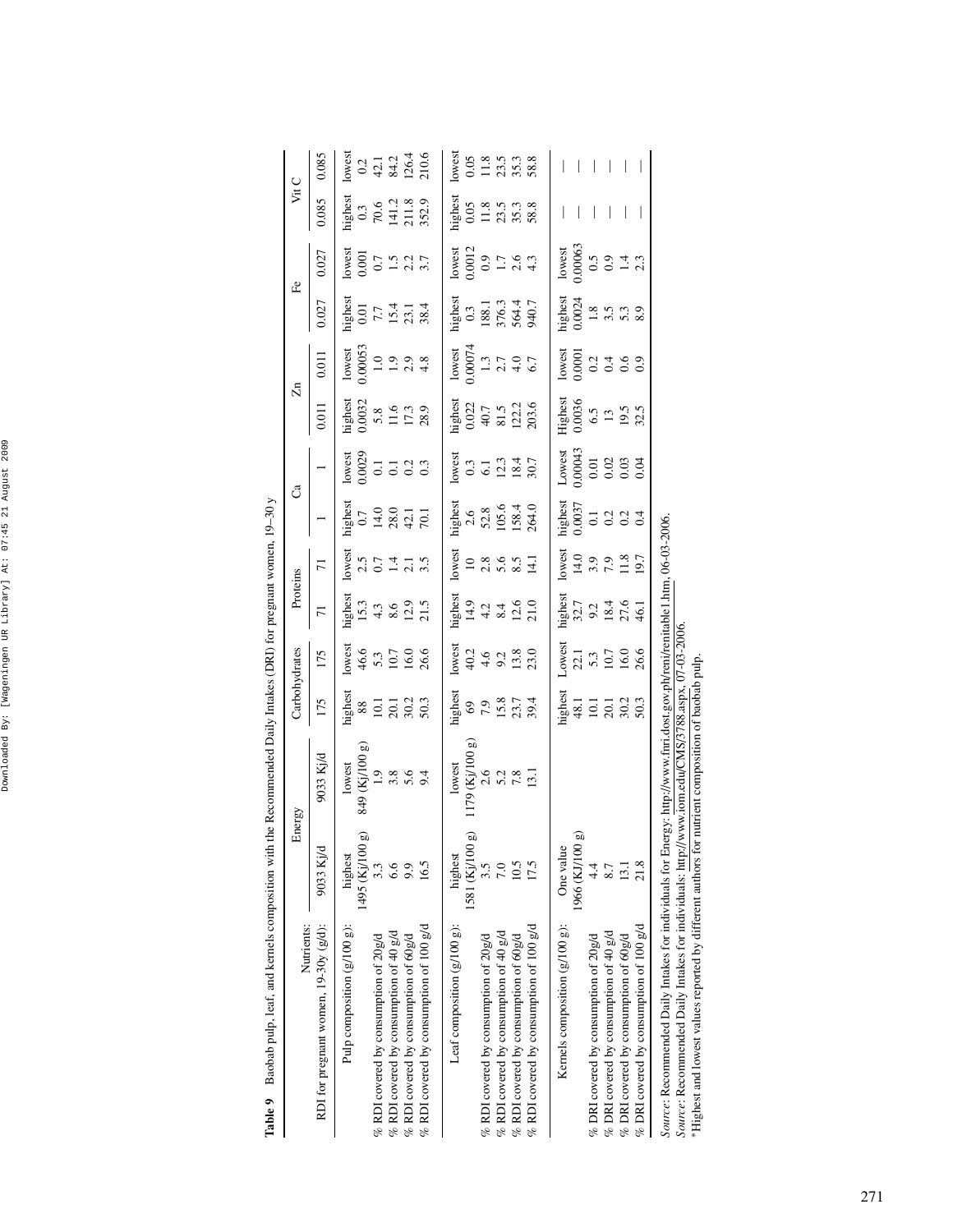| d<br>¢<br>ı                                           |
|-------------------------------------------------------|
| ì<br>ı<br>í                                           |
| ł<br>ł<br>Ó<br>i                                      |
| Ï<br>I<br>í                                           |
| t                                                     |
| J<br>J<br>ì<br>ï                                      |
| I<br>i<br>l<br>l<br>ı<br>Ï                            |
| i                                                     |
| I<br>İ<br>l<br>Í<br>֚֬֕<br>ì<br>I<br>١<br>I<br>I<br>j |
| i<br>l<br>ï<br>١<br>I                                 |
| ĵ<br>l<br>ļ<br>j<br>ì                                 |

| Nutrients:                                                                                                                 | Energy              |                  | Carbohydrates                                                                                                                                                                                                                                                                                                                                        |                                                     | Proteins                                              |                                                                                                                                                                                                                         |                                                                                                                                                                                                                                            | ්                                                                                                                                                        |                                                                                          | $\overline{z}$                                                                                                                                                                          |                                                    | $\mathbb{F}^{\mathbb{C}}$                                                                           | Vit C                                                                                                                                                                                                                     |                                                |
|----------------------------------------------------------------------------------------------------------------------------|---------------------|------------------|------------------------------------------------------------------------------------------------------------------------------------------------------------------------------------------------------------------------------------------------------------------------------------------------------------------------------------------------------|-----------------------------------------------------|-------------------------------------------------------|-------------------------------------------------------------------------------------------------------------------------------------------------------------------------------------------------------------------------|--------------------------------------------------------------------------------------------------------------------------------------------------------------------------------------------------------------------------------------------|----------------------------------------------------------------------------------------------------------------------------------------------------------|------------------------------------------------------------------------------------------|-----------------------------------------------------------------------------------------------------------------------------------------------------------------------------------------|----------------------------------------------------|-----------------------------------------------------------------------------------------------------|---------------------------------------------------------------------------------------------------------------------------------------------------------------------------------------------------------------------------|------------------------------------------------|
| RDI for pregnant women, 19-30y (g/d):                                                                                      | 9033 Kj/d           | 9033 Kj/d        | 175                                                                                                                                                                                                                                                                                                                                                  | 175                                                 | $\overline{7}$                                        |                                                                                                                                                                                                                         |                                                                                                                                                                                                                                            |                                                                                                                                                          | 0.011                                                                                    | 0.011                                                                                                                                                                                   | 0.027                                              | 0.027                                                                                               | 0.085                                                                                                                                                                                                                     | 0.085                                          |
| Pulp composition $(g/100 g)$ :                                                                                             | highest             | lowest           | $\frac{1}{2}$<br>$\frac{1}{2}$<br>$\frac{1}{2}$<br>$\frac{1}{2}$<br>$\frac{1}{2}$<br>$\frac{1}{2}$<br>$\frac{1}{2}$<br>$\frac{1}{2}$<br>$\frac{1}{2}$<br>$\frac{1}{2}$<br>$\frac{1}{2}$<br>$\frac{1}{2}$                                                                                                                                             |                                                     | highest<br>15.3<br>4.3<br>8.6<br>21.5<br>21.5         |                                                                                                                                                                                                                         | highest<br>0.7<br>14.0<br>12.0<br>20.1<br>70.1                                                                                                                                                                                             |                                                                                                                                                          | highest<br>0.0032<br>5.8<br>11.6<br>17.3<br>28.9                                         |                                                                                                                                                                                         | ighest<br>0.01<br>7.7<br>15.4<br>38.4              |                                                                                                     | $\frac{1}{2}$<br>$\frac{1}{2}$<br>$\frac{1}{2}$<br>$\frac{1}{2}$<br>$\frac{1}{2}$<br>$\frac{1}{2}$<br>$\frac{1}{2}$<br>$\frac{1}{2}$<br>$\frac{1}{2}$<br>$\frac{1}{2}$<br>$\frac{1}{2}$<br>$\frac{1}{2}$<br>$\frac{1}{2}$ |                                                |
|                                                                                                                            | `où<br>1495 (Kj/100 | 849 (Kj/100 g)   |                                                                                                                                                                                                                                                                                                                                                      |                                                     |                                                       |                                                                                                                                                                                                                         |                                                                                                                                                                                                                                            |                                                                                                                                                          |                                                                                          |                                                                                                                                                                                         |                                                    |                                                                                                     |                                                                                                                                                                                                                           |                                                |
| % RDI covered by consumption of 20g/d                                                                                      |                     |                  |                                                                                                                                                                                                                                                                                                                                                      |                                                     |                                                       |                                                                                                                                                                                                                         |                                                                                                                                                                                                                                            |                                                                                                                                                          |                                                                                          |                                                                                                                                                                                         |                                                    |                                                                                                     |                                                                                                                                                                                                                           |                                                |
| % RDI covered by consumption of 40 $g/d$                                                                                   |                     | $\frac{9}{3}$ .8 |                                                                                                                                                                                                                                                                                                                                                      |                                                     |                                                       |                                                                                                                                                                                                                         |                                                                                                                                                                                                                                            |                                                                                                                                                          |                                                                                          |                                                                                                                                                                                         |                                                    |                                                                                                     |                                                                                                                                                                                                                           |                                                |
| % RDI covered by consumption of 60g/d                                                                                      |                     |                  |                                                                                                                                                                                                                                                                                                                                                      | lowest<br>46.6<br>5.3<br>10.7<br>16.0               |                                                       |                                                                                                                                                                                                                         |                                                                                                                                                                                                                                            | 1<br>00029<br>0.0029<br>0.01<br>0.03                                                                                                                     |                                                                                          | $\frac{1}{2}$<br>$\frac{1}{2}$<br>$\frac{1}{2}$<br>$\frac{1}{2}$<br>$\frac{1}{2}$<br>$\frac{1}{2}$<br>$\frac{1}{2}$<br>$\frac{1}{2}$<br>$\frac{1}{2}$<br>$\frac{1}{2}$<br>$\frac{1}{2}$ |                                                    | $100001$<br>$0.001$<br>$0.7$<br>$1.5$<br>$3.7$<br>$3.7$                                             |                                                                                                                                                                                                                           | lowest<br>0.2<br>0.2<br>42.2<br>126.4<br>126.4 |
| % RDI covered by consumption of 100 g/d                                                                                    | 16.5                | 9.4              |                                                                                                                                                                                                                                                                                                                                                      |                                                     |                                                       |                                                                                                                                                                                                                         |                                                                                                                                                                                                                                            |                                                                                                                                                          |                                                                                          |                                                                                                                                                                                         |                                                    |                                                                                                     |                                                                                                                                                                                                                           |                                                |
| Leaf composition (g/100 g):                                                                                                | highest             | lowest           |                                                                                                                                                                                                                                                                                                                                                      |                                                     |                                                       |                                                                                                                                                                                                                         |                                                                                                                                                                                                                                            |                                                                                                                                                          |                                                                                          |                                                                                                                                                                                         |                                                    |                                                                                                     |                                                                                                                                                                                                                           | lowes                                          |
|                                                                                                                            | άò<br>1581 (Kj/10)  | 179 (Kj/100 g)   | $\frac{1}{2}$<br>$\frac{1}{2}$<br>$\frac{1}{2}$<br>$\frac{1}{2}$<br>$\frac{1}{2}$<br>$\frac{1}{2}$<br>$\frac{1}{2}$<br>$\frac{1}{2}$<br>$\frac{1}{2}$<br>$\frac{1}{2}$<br>$\frac{1}{2}$<br>$\frac{1}{2}$<br>$\frac{1}{2}$<br>$\frac{1}{2}$<br>$\frac{1}{2}$<br>$\frac{1}{2}$<br>$\frac{1}{2}$<br>$\frac{1}{2}$<br>$\frac{1}{2}$<br>$\frac{1}{2}$<br> | 10west<br>4 4 5 0 3 3 0<br>4 9 0 13 3 0<br>13 13 13 | highest<br>14.9<br>4.2<br>8.4<br>21.0<br>21.0         | $\frac{3}{2}$<br>$\frac{3}{2}$<br>$\frac{3}{2}$<br>$\frac{5}{2}$<br>$\frac{6}{2}$<br>$\frac{7}{2}$<br><br>$\frac{8}{2}$<br><br><br><br><br><br><br><br><br><br><br><br><br><br><br><br><br><br><br><br><br><br><br><br> | highest<br>2.6<br>52.8<br>105.6<br>158.4<br>264.0                                                                                                                                                                                          | lowest<br>0.3<br>6.1<br>12.3<br>18.4<br>18.4                                                                                                             | $\begin{array}{l} \text{highest} \\ 0.022 \\ 40.7 \\ 81.5 \\ 122.2 \\ 203.6 \end{array}$ | $\frac{1}{2}$<br>$\frac{1}{2}$<br>$\frac{3}{2}$<br>$\frac{4}{5}$<br>$\frac{5}{2}$<br>$\frac{6}{7}$<br>$\frac{1}{2}$<br>$\frac{3}{4}$<br>$\frac{6}{7}$                                   | highest<br>0.3<br>188.1<br>576.3<br>564.4<br>940.7 | $\begin{array}{r}\n 1 \text{owest} \\  0.0012 \\  0.9 \\  1.7 \\  2.6 \\  4.3\n \end{array}$        | highest<br>0.05<br>11.8<br>23.5<br>38.8                                                                                                                                                                                   |                                                |
| % RDI covered by consumption of 20g/d                                                                                      |                     | 2.6              |                                                                                                                                                                                                                                                                                                                                                      |                                                     |                                                       |                                                                                                                                                                                                                         |                                                                                                                                                                                                                                            |                                                                                                                                                          |                                                                                          |                                                                                                                                                                                         |                                                    |                                                                                                     |                                                                                                                                                                                                                           | 05<br>113<br>113<br>38                         |
| % RDI covered by consumption of 40 $g/d$                                                                                   |                     |                  |                                                                                                                                                                                                                                                                                                                                                      |                                                     |                                                       |                                                                                                                                                                                                                         |                                                                                                                                                                                                                                            |                                                                                                                                                          |                                                                                          |                                                                                                                                                                                         |                                                    |                                                                                                     |                                                                                                                                                                                                                           |                                                |
| % RDI covered by consumption of 60g/d                                                                                      | 10.5                | $7.8$            |                                                                                                                                                                                                                                                                                                                                                      |                                                     |                                                       |                                                                                                                                                                                                                         |                                                                                                                                                                                                                                            |                                                                                                                                                          |                                                                                          |                                                                                                                                                                                         |                                                    |                                                                                                     |                                                                                                                                                                                                                           |                                                |
| % RDI covered by consumption of $100 \text{ g/d}$                                                                          | I7.5                | 13.1             |                                                                                                                                                                                                                                                                                                                                                      |                                                     |                                                       | $\overline{14.1}$                                                                                                                                                                                                       |                                                                                                                                                                                                                                            |                                                                                                                                                          |                                                                                          |                                                                                                                                                                                         |                                                    |                                                                                                     |                                                                                                                                                                                                                           |                                                |
| Kernels composition $(g/100 g)$ :                                                                                          | One value           |                  |                                                                                                                                                                                                                                                                                                                                                      |                                                     |                                                       |                                                                                                                                                                                                                         |                                                                                                                                                                                                                                            |                                                                                                                                                          |                                                                                          |                                                                                                                                                                                         |                                                    |                                                                                                     |                                                                                                                                                                                                                           |                                                |
|                                                                                                                            | ದಾ<br>1966 (KJ/10)  |                  | ighest<br>48.1<br>10.1<br>20.2<br>50.3                                                                                                                                                                                                                                                                                                               | Lowest<br>21.1<br>5.3<br>10.7<br>16.0<br>26.6       | highest<br>32.7<br>9.2<br>9.3<br>13<br>45<br>45<br>45 | lowest<br>14.0<br>3.9<br>7.9<br>11.8<br>19.7                                                                                                                                                                            | $\frac{1}{2}$<br>$\frac{1}{2}$<br>$\frac{1}{2}$<br>$\frac{1}{2}$<br>$\frac{1}{2}$<br>$\frac{1}{2}$<br>$\frac{1}{2}$<br>$\frac{1}{2}$<br>$\frac{1}{2}$<br>$\frac{1}{2}$<br>$\frac{1}{2}$<br>$\frac{1}{2}$<br>$\frac{1}{2}$<br>$\frac{1}{2}$ | $\begin{array}{c} \text{Lowest} \\ \text{O.00043} \\ \text{O.01} \\ \text{O.01} \\ \text{O.02} \\ \text{O.03} \\ \text{O.04} \\ \text{O.03} \end{array}$ | Highest<br>0.0036<br>6.5<br>13                                                           | $\frac{1}{2}$<br>$\frac{0.0001}{0.0001}$<br>$\frac{0.4}{0.0001}$                                                                                                                        |                                                    | $\frac{1}{2}$<br>$\frac{0.00063}{0.5}$<br>$\frac{0.5}{0.5}$<br>$\frac{0.3}{0.5}$<br>$\frac{4}{1.3}$ |                                                                                                                                                                                                                           |                                                |
| % DRI covered by consumption of 20g/d                                                                                      | 4.                  |                  |                                                                                                                                                                                                                                                                                                                                                      |                                                     |                                                       |                                                                                                                                                                                                                         |                                                                                                                                                                                                                                            |                                                                                                                                                          |                                                                                          |                                                                                                                                                                                         |                                                    |                                                                                                     |                                                                                                                                                                                                                           |                                                |
| $%$ DRI covered by consumption of 40 g/d                                                                                   |                     |                  |                                                                                                                                                                                                                                                                                                                                                      |                                                     |                                                       |                                                                                                                                                                                                                         |                                                                                                                                                                                                                                            |                                                                                                                                                          |                                                                                          |                                                                                                                                                                                         |                                                    |                                                                                                     | I                                                                                                                                                                                                                         |                                                |
| % DRI covered by consumption of 60g/d                                                                                      |                     |                  |                                                                                                                                                                                                                                                                                                                                                      |                                                     |                                                       |                                                                                                                                                                                                                         |                                                                                                                                                                                                                                            |                                                                                                                                                          | 19.5<br>32.5                                                                             |                                                                                                                                                                                         |                                                    |                                                                                                     |                                                                                                                                                                                                                           |                                                |
| % DRI covered by consumption of 100 g/d                                                                                    | 21.8                |                  |                                                                                                                                                                                                                                                                                                                                                      |                                                     |                                                       |                                                                                                                                                                                                                         |                                                                                                                                                                                                                                            |                                                                                                                                                          |                                                                                          |                                                                                                                                                                                         |                                                    |                                                                                                     |                                                                                                                                                                                                                           |                                                |
| Source: Recommended Daily Intakes for individuals for Energy: http://www.fnri.dost.gov.ph/reni/renitable1.htm, 06-03-2006. |                     |                  |                                                                                                                                                                                                                                                                                                                                                      |                                                     |                                                       |                                                                                                                                                                                                                         |                                                                                                                                                                                                                                            |                                                                                                                                                          |                                                                                          |                                                                                                                                                                                         |                                                    |                                                                                                     |                                                                                                                                                                                                                           |                                                |

Source: Recommended Daily Intakes for individuals: http://www.iom.edu/CMS/3788.aspx, 07-03-2006.<br>Source: Recommended Daily Intakes for individuals: http://www.iom.edu/CMS/3788.aspx, 07-03-2006.<br>\*Highest and lowest values r *Source*: Recommended Daily Intakes for individuals: http://www.iom.edu/CMS/3788.aspx, 07-03-2006.

∗Highest and lowest values reported by different authors for nutrient composition of baobab pulp.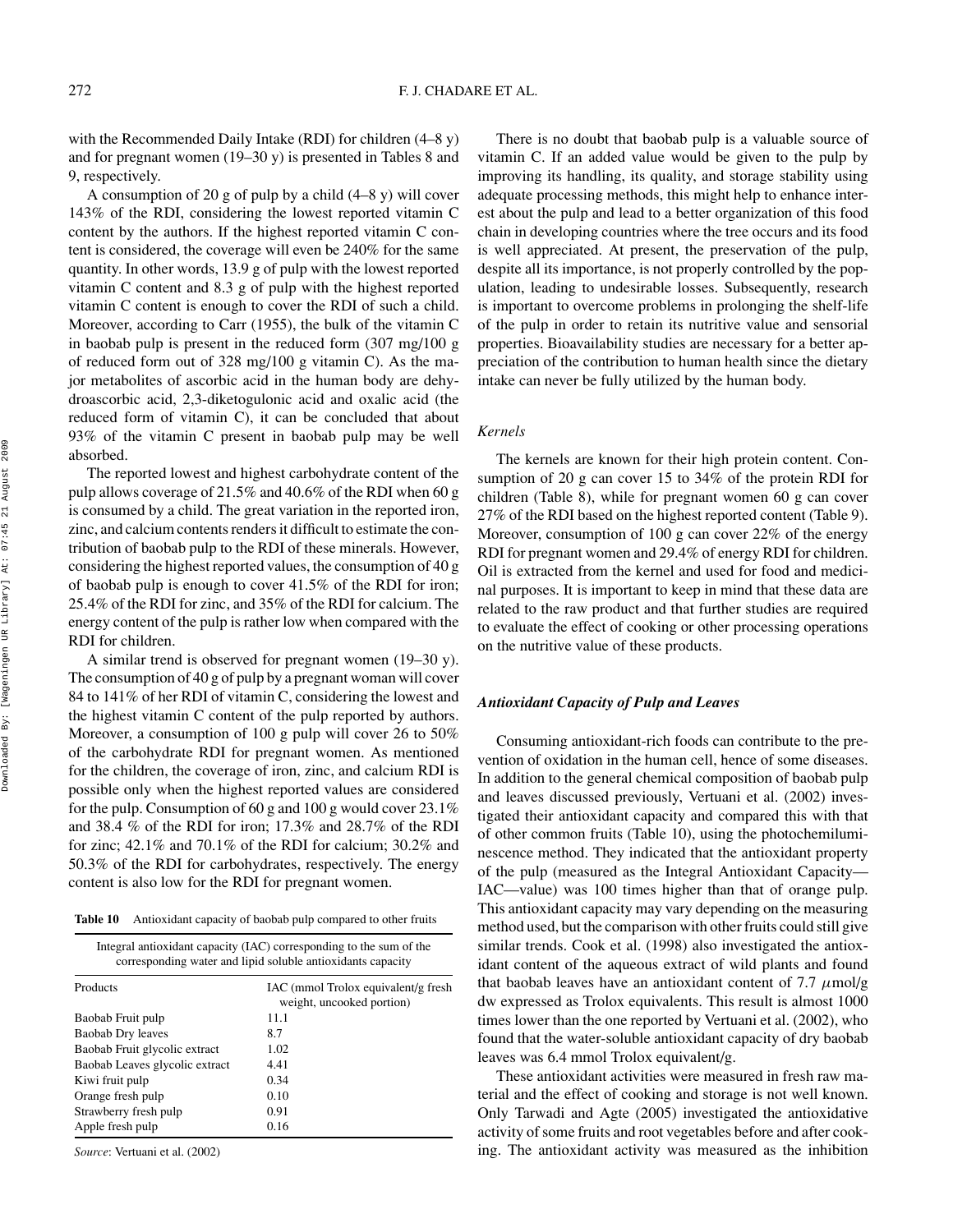with the Recommended Daily Intake (RDI) for children (4–8 y) and for pregnant women (19–30 y) is presented in Tables 8 and 9, respectively.

A consumption of 20 g of pulp by a child (4–8 y) will cover 143% of the RDI, considering the lowest reported vitamin C content by the authors. If the highest reported vitamin C content is considered, the coverage will even be 240% for the same quantity. In other words, 13.9 g of pulp with the lowest reported vitamin C content and 8.3 g of pulp with the highest reported vitamin C content is enough to cover the RDI of such a child. Moreover, according to Carr (1955), the bulk of the vitamin C in baobab pulp is present in the reduced form (307 mg/100 g of reduced form out of 328 mg/100 g vitamin C). As the major metabolites of ascorbic acid in the human body are dehydroascorbic acid, 2,3-diketogulonic acid and oxalic acid (the reduced form of vitamin C), it can be concluded that about 93% of the vitamin C present in baobab pulp may be well absorbed.

The reported lowest and highest carbohydrate content of the pulp allows coverage of 21.5% and 40.6% of the RDI when 60 g is consumed by a child. The great variation in the reported iron, zinc, and calcium contents renders it difficult to estimate the contribution of baobab pulp to the RDI of these minerals. However, considering the highest reported values, the consumption of 40 g of baobab pulp is enough to cover 41.5% of the RDI for iron; 25.4% of the RDI for zinc, and 35% of the RDI for calcium. The energy content of the pulp is rather low when compared with the RDI for children.

A similar trend is observed for pregnant women (19–30 y). The consumption of 40 g of pulp by a pregnant woman will cover 84 to 141% of her RDI of vitamin C, considering the lowest and the highest vitamin C content of the pulp reported by authors. Moreover, a consumption of 100 g pulp will cover 26 to 50% of the carbohydrate RDI for pregnant women. As mentioned for the children, the coverage of iron, zinc, and calcium RDI is possible only when the highest reported values are considered for the pulp. Consumption of 60 g and 100 g would cover 23.1% and 38.4 % of the RDI for iron; 17.3% and 28.7% of the RDI for zinc; 42.1% and 70.1% of the RDI for calcium; 30.2% and 50.3% of the RDI for carbohydrates, respectively. The energy content is also low for the RDI for pregnant women.

**Table 10** Antioxidant capacity of baobab pulp compared to other fruits

|                                 | Integral antioxidant capacity (IAC) corresponding to the sum of the<br>corresponding water and lipid soluble antioxidants capacity |  |  |
|---------------------------------|------------------------------------------------------------------------------------------------------------------------------------|--|--|
| Products                        | IAC (mmol Trolox equivalent/g fresh<br>weight, uncooked portion)                                                                   |  |  |
| Baobab Fruit pulp               | 11.1                                                                                                                               |  |  |
| <b>Baobab Dry leaves</b><br>8.7 |                                                                                                                                    |  |  |
| Baobab Fruit glycolic extract   | 1.02                                                                                                                               |  |  |
| Baobab Leaves glycolic extract  | 4.41                                                                                                                               |  |  |
| Kiwi fruit pulp                 | 0.34                                                                                                                               |  |  |
| Orange fresh pulp               | 0.10                                                                                                                               |  |  |
| Strawberry fresh pulp           | 0.91                                                                                                                               |  |  |
| Apple fresh pulp                | 0.16                                                                                                                               |  |  |

*Source*: Vertuani et al. (2002)

There is no doubt that baobab pulp is a valuable source of vitamin C. If an added value would be given to the pulp by improving its handling, its quality, and storage stability using adequate processing methods, this might help to enhance interest about the pulp and lead to a better organization of this food chain in developing countries where the tree occurs and its food is well appreciated. At present, the preservation of the pulp, despite all its importance, is not properly controlled by the population, leading to undesirable losses. Subsequently, research is important to overcome problems in prolonging the shelf-life of the pulp in order to retain its nutritive value and sensorial properties. Bioavailability studies are necessary for a better appreciation of the contribution to human health since the dietary intake can never be fully utilized by the human body.

#### *Kernels*

The kernels are known for their high protein content. Consumption of 20 g can cover 15 to 34% of the protein RDI for children (Table 8), while for pregnant women 60 g can cover 27% of the RDI based on the highest reported content (Table 9). Moreover, consumption of 100 g can cover 22% of the energy RDI for pregnant women and 29.4% of energy RDI for children. Oil is extracted from the kernel and used for food and medicinal purposes. It is important to keep in mind that these data are related to the raw product and that further studies are required to evaluate the effect of cooking or other processing operations on the nutritive value of these products.

## *Antioxidant Capacity of Pulp and Leaves*

Consuming antioxidant-rich foods can contribute to the prevention of oxidation in the human cell, hence of some diseases. In addition to the general chemical composition of baobab pulp and leaves discussed previously, Vertuani et al. (2002) investigated their antioxidant capacity and compared this with that of other common fruits (Table 10), using the photochemiluminescence method. They indicated that the antioxidant property of the pulp (measured as the Integral Antioxidant Capacity— IAC—value) was 100 times higher than that of orange pulp. This antioxidant capacity may vary depending on the measuring method used, but the comparison with other fruits could still give similar trends. Cook et al. (1998) also investigated the antioxidant content of the aqueous extract of wild plants and found that baobab leaves have an antioxidant content of 7.7  $\mu$ mol/g dw expressed as Trolox equivalents. This result is almost 1000 times lower than the one reported by Vertuani et al. (2002), who found that the water-soluble antioxidant capacity of dry baobab leaves was 6.4 mmol Trolox equivalent/g.

These antioxidant activities were measured in fresh raw material and the effect of cooking and storage is not well known. Only Tarwadi and Agte (2005) investigated the antioxidative activity of some fruits and root vegetables before and after cooking. The antioxidant activity was measured as the inhibition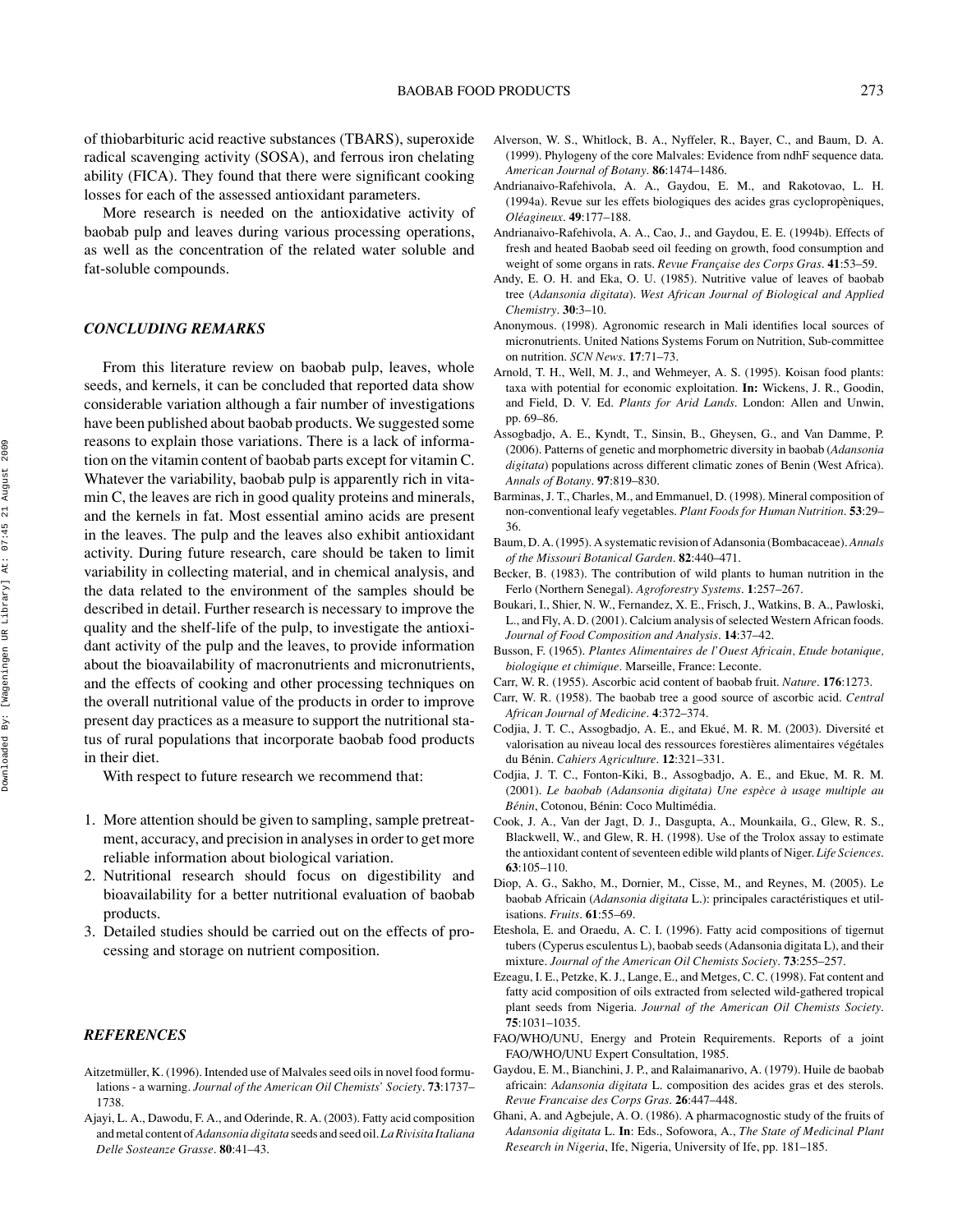of thiobarbituric acid reactive substances (TBARS), superoxide radical scavenging activity (SOSA), and ferrous iron chelating ability (FICA). They found that there were significant cooking losses for each of the assessed antioxidant parameters.

More research is needed on the antioxidative activity of baobab pulp and leaves during various processing operations, as well as the concentration of the related water soluble and fat-soluble compounds.

## *CONCLUDING REMARKS*

From this literature review on baobab pulp, leaves, whole seeds, and kernels, it can be concluded that reported data show considerable variation although a fair number of investigations have been published about baobab products. We suggested some reasons to explain those variations. There is a lack of information on the vitamin content of baobab parts except for vitamin C. Whatever the variability, baobab pulp is apparently rich in vitamin C, the leaves are rich in good quality proteins and minerals, and the kernels in fat. Most essential amino acids are present in the leaves. The pulp and the leaves also exhibit antioxidant activity. During future research, care should be taken to limit variability in collecting material, and in chemical analysis, and the data related to the environment of the samples should be described in detail. Further research is necessary to improve the quality and the shelf-life of the pulp, to investigate the antioxidant activity of the pulp and the leaves, to provide information about the bioavailability of macronutrients and micronutrients, and the effects of cooking and other processing techniques on the overall nutritional value of the products in order to improve present day practices as a measure to support the nutritional status of rural populations that incorporate baobab food products in their diet.

With respect to future research we recommend that:

- 1. More attention should be given to sampling, sample pretreatment, accuracy, and precision in analyses in order to get more reliable information about biological variation.
- 2. Nutritional research should focus on digestibility and bioavailability for a better nutritional evaluation of baobab products.
- 3. Detailed studies should be carried out on the effects of processing and storage on nutrient composition.

## *REFERENCES*

- Aitzetmüller, K. (1996). Intended use of Malvales seed oils in novel food formulations - a warning. *Journal of the American Oil Chemists' Society*. **73**:1737– 1738.
- Ajayi, L. A., Dawodu, F. A., and Oderinde, R. A. (2003). Fatty acid composition and metal content of*Adansonia digitata* seeds and seed oil. *La Rivisita Italiana Delle Sosteanze Grasse*. **80**:41–43.
- Alverson, W. S., Whitlock, B. A., Nyffeler, R., Bayer, C., and Baum, D. A. (1999). Phylogeny of the core Malvales: Evidence from ndhF sequence data. *American Journal of Botany*. **86**:1474–1486.
- Andrianaivo-Rafehivola, A. A., Gaydou, E. M., and Rakotovao, L. H. (1994a). Revue sur les effets biologiques des acides gras cyclopropèniques, *Oleagineux ´* . **49**:177–188.
- Andrianaivo-Rafehivola, A. A., Cao, J., and Gaydou, E. E. (1994b). Effects of fresh and heated Baobab seed oil feeding on growth, food consumption and weight of some organs in rats. *Revue Française des Corps Gras*. 41:53-59.
- Andy, E. O. H. and Eka, O. U. (1985). Nutritive value of leaves of baobab tree (*Adansonia digitata*). *West African Journal of Biological and Applied Chemistry*. **30**:3–10.
- Anonymous. (1998). Agronomic research in Mali identifies local sources of micronutrients. United Nations Systems Forum on Nutrition, Sub-committee on nutrition. *SCN News*. **17**:71–73.
- Arnold, T. H., Well, M. J., and Wehmeyer, A. S. (1995). Koisan food plants: taxa with potential for economic exploitation. **In:** Wickens, J. R., Goodin, and Field, D. V. Ed. *Plants for Arid Lands*. London: Allen and Unwin, pp. 69–86.
- Assogbadjo, A. E., Kyndt, T., Sinsin, B., Gheysen, G., and Van Damme, P. (2006). Patterns of genetic and morphometric diversity in baobab (*Adansonia digitata*) populations across different climatic zones of Benin (West Africa). *Annals of Botany*. **97**:819–830.
- Barminas, J. T., Charles, M., and Emmanuel, D. (1998). Mineral composition of non-conventional leafy vegetables. *Plant Foods for Human Nutrition*. **53**:29– 36.
- Baum, D. A. (1995). A systematic revision of Adansonia (Bombacaceae).*Annals of the Missouri Botanical Garden*. **82**:440–471.
- Becker, B. (1983). The contribution of wild plants to human nutrition in the Ferlo (Northern Senegal). *Agroforestry Systems*. **1**:257–267.
- Boukari, I., Shier, N. W., Fernandez, X. E., Frisch, J., Watkins, B. A., Pawloski, L., and Fly, A. D. (2001). Calcium analysis of selected Western African foods. *Journal of Food Composition and Analysis*. **14**:37–42.
- Busson, F. (1965). *Plantes Alimentaires de l'Ouest Africain, Etude botanique, biologique et chimique*. Marseille, France: Leconte.
- Carr, W. R. (1955). Ascorbic acid content of baobab fruit. *Nature*. **176**:1273.
- Carr, W. R. (1958). The baobab tree a good source of ascorbic acid. *Central African Journal of Medicine*. **4**:372–374.
- Codjia, J. T. C., Assogbadjo, A. E., and Ekué, M. R. M. (2003). Diversité et valorisation au niveau local des ressources forestières alimentaires végétales du B´enin. *Cahiers Agriculture*. **12**:321–331.
- Codjia, J. T. C., Fonton-Kiki, B., Assogbadjo, A. E., and Ekue, M. R. M. (2001). *Le baobab (Adansonia digitata) Une espece ` a` usage multiple au*  $Bénin$ , Cotonou, Bénin: Coco Multimédia.
- Cook, J. A., Van der Jagt, D. J., Dasgupta, A., Mounkaila, G., Glew, R. S., Blackwell, W., and Glew, R. H. (1998). Use of the Trolox assay to estimate the antioxidant content of seventeen edible wild plants of Niger. *Life Sciences*. **63**:105–110.
- Diop, A. G., Sakho, M., Dornier, M., Cisse, M., and Reynes, M. (2005). Le baobab Africain (Adansonia digitata L.): principales caractéristiques et utilisations. *Fruits*. **61**:55–69.
- Eteshola, E. and Oraedu, A. C. I. (1996). Fatty acid compositions of tigernut tubers (Cyperus esculentus L), baobab seeds (Adansonia digitata L), and their mixture. *Journal of the American Oil Chemists Society*. **73**:255–257.
- Ezeagu, I. E., Petzke, K. J., Lange, E., and Metges, C. C. (1998). Fat content and fatty acid composition of oils extracted from selected wild-gathered tropical plant seeds from Nigeria. *Journal of the American Oil Chemists Society*. **75**:1031–1035.
- FAO/WHO/UNU, Energy and Protein Requirements. Reports of a joint FAO/WHO/UNU Expert Consultation, 1985.
- Gaydou, E. M., Bianchini, J. P., and Ralaimanarivo, A. (1979). Huile de baobab africain: *Adansonia digitata* L. composition des acides gras et des sterols. *Revue Francaise des Corps Gras*. **26**:447–448.
- Ghani, A. and Agbejule, A. O. (1986). A pharmacognostic study of the fruits of *Adansonia digitata* L. **In**: Eds., Sofowora, A., *The State of Medicinal Plant Research in Nigeria*, Ife, Nigeria, University of Ife, pp. 181–185.